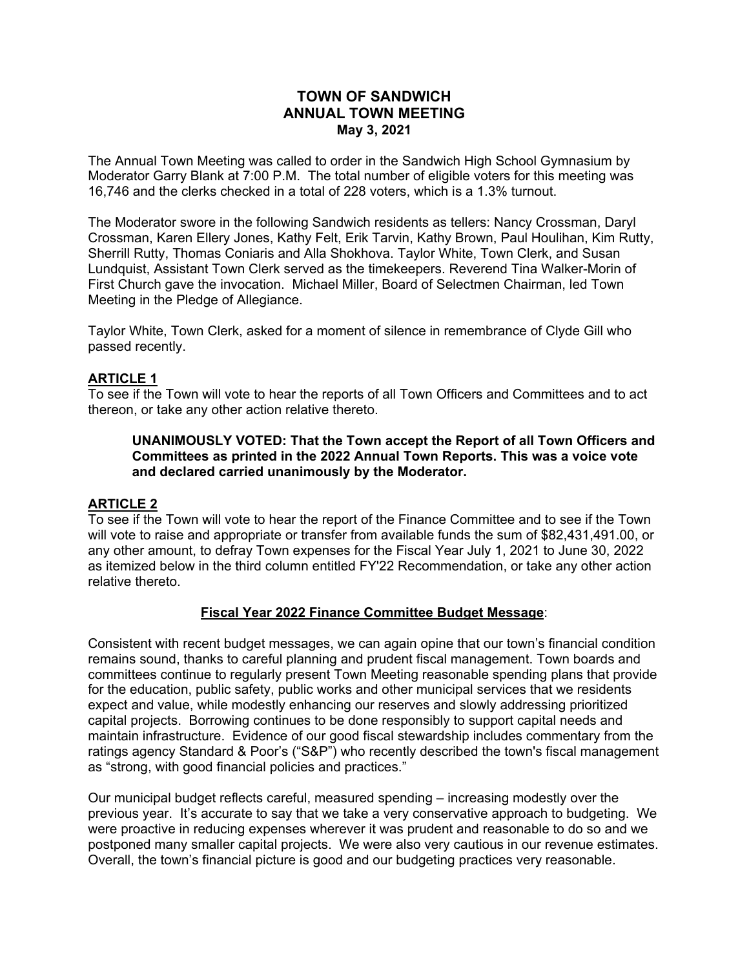# **TOWN OF SANDWICH ANNUAL TOWN MEETING May 3, 2021**

The Annual Town Meeting was called to order in the Sandwich High School Gymnasium by Moderator Garry Blank at 7:00 P.M. The total number of eligible voters for this meeting was 16,746 and the clerks checked in a total of 228 voters, which is a 1.3% turnout.

The Moderator swore in the following Sandwich residents as tellers: Nancy Crossman, Daryl Crossman, Karen Ellery Jones, Kathy Felt, Erik Tarvin, Kathy Brown, Paul Houlihan, Kim Rutty, Sherrill Rutty, Thomas Coniaris and Alla Shokhova. Taylor White, Town Clerk, and Susan Lundquist, Assistant Town Clerk served as the timekeepers. Reverend Tina Walker-Morin of First Church gave the invocation. Michael Miller, Board of Selectmen Chairman, led Town Meeting in the Pledge of Allegiance.

Taylor White, Town Clerk, asked for a moment of silence in remembrance of Clyde Gill who passed recently.

# **ARTICLE 1**

To see if the Town will vote to hear the reports of all Town Officers and Committees and to act thereon, or take any other action relative thereto.

## **UNANIMOUSLY VOTED: That the Town accept the Report of all Town Officers and Committees as printed in the 2022 Annual Town Reports. This was a voice vote and declared carried unanimously by the Moderator.**

# **ARTICLE 2**

To see if the Town will vote to hear the report of the Finance Committee and to see if the Town will vote to raise and appropriate or transfer from available funds the sum of \$82,431,491.00, or any other amount, to defray Town expenses for the Fiscal Year July 1, 2021 to June 30, 2022 as itemized below in the third column entitled FY'22 Recommendation, or take any other action relative thereto.

#### **Fiscal Year 2022 Finance Committee Budget Message**:

Consistent with recent budget messages, we can again opine that our town's financial condition remains sound, thanks to careful planning and prudent fiscal management. Town boards and committees continue to regularly present Town Meeting reasonable spending plans that provide for the education, public safety, public works and other municipal services that we residents expect and value, while modestly enhancing our reserves and slowly addressing prioritized capital projects. Borrowing continues to be done responsibly to support capital needs and maintain infrastructure. Evidence of our good fiscal stewardship includes commentary from the ratings agency Standard & Poor's ("S&P") who recently described the town's fiscal management as "strong, with good financial policies and practices."

Our municipal budget reflects careful, measured spending – increasing modestly over the previous year. It's accurate to say that we take a very conservative approach to budgeting. We were proactive in reducing expenses wherever it was prudent and reasonable to do so and we postponed many smaller capital projects. We were also very cautious in our revenue estimates. Overall, the town's financial picture is good and our budgeting practices very reasonable.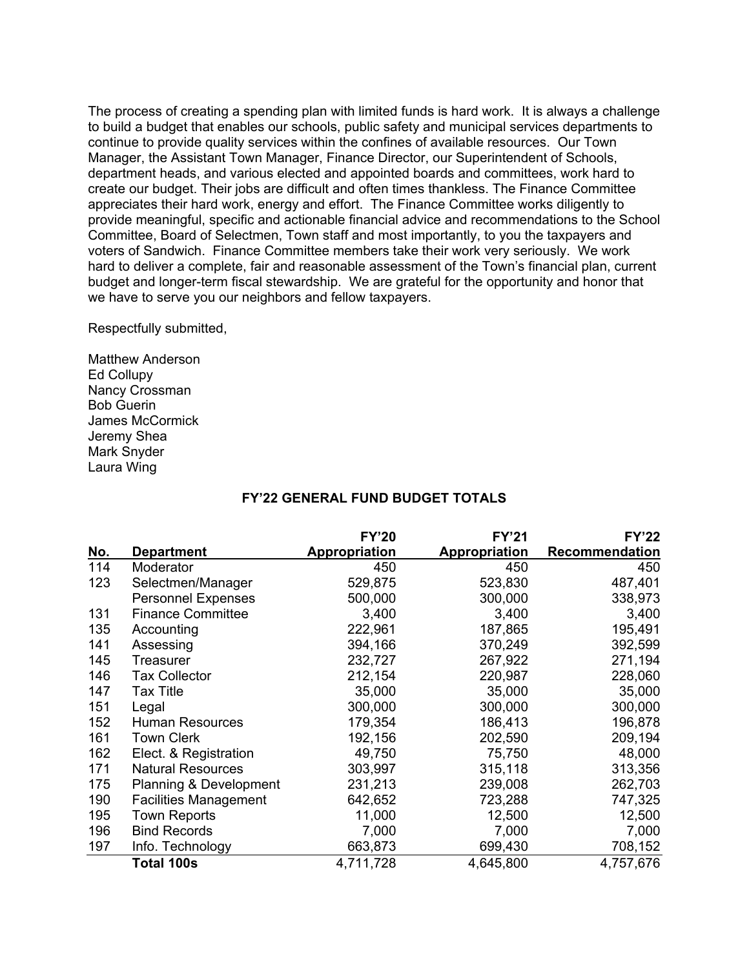The process of creating a spending plan with limited funds is hard work. It is always a challenge to build a budget that enables our schools, public safety and municipal services departments to continue to provide quality services within the confines of available resources. Our Town Manager, the Assistant Town Manager, Finance Director, our Superintendent of Schools, department heads, and various elected and appointed boards and committees, work hard to create our budget. Their jobs are difficult and often times thankless. The Finance Committee appreciates their hard work, energy and effort. The Finance Committee works diligently to provide meaningful, specific and actionable financial advice and recommendations to the School Committee, Board of Selectmen, Town staff and most importantly, to you the taxpayers and voters of Sandwich. Finance Committee members take their work very seriously. We work hard to deliver a complete, fair and reasonable assessment of the Town's financial plan, current budget and longer-term fiscal stewardship. We are grateful for the opportunity and honor that we have to serve you our neighbors and fellow taxpayers.

Respectfully submitted,

Matthew Anderson Ed Collupy Nancy Crossman Bob Guerin James McCormick Jeremy Shea Mark Snyder Laura Wing

#### **FY'22 GENERAL FUND BUDGET TOTALS**

|            |                                   | <b>FY'20</b>         | <b>FY'21</b>         | <b>FY'22</b>          |
|------------|-----------------------------------|----------------------|----------------------|-----------------------|
| <u>No.</u> | <b>Department</b>                 | <b>Appropriation</b> | <b>Appropriation</b> | <b>Recommendation</b> |
| 114        | Moderator                         | 450                  | 450                  | 450                   |
| 123        | Selectmen/Manager                 | 529,875              | 523,830              | 487,401               |
|            | <b>Personnel Expenses</b>         | 500,000              | 300,000              | 338,973               |
| 131        | <b>Finance Committee</b>          | 3,400                | 3,400                | 3,400                 |
| 135        | Accounting                        | 222,961              | 187,865              | 195,491               |
| 141        | Assessing                         | 394,166              | 370,249              | 392,599               |
| 145        | Treasurer                         | 232,727              | 267,922              | 271,194               |
| 146        | <b>Tax Collector</b>              | 212,154              | 220,987              | 228,060               |
| 147        | <b>Tax Title</b>                  | 35,000               | 35,000               | 35,000                |
| 151        | Legal                             | 300,000              | 300,000              | 300,000               |
| 152        | <b>Human Resources</b>            | 179,354              | 186,413              | 196,878               |
| 161        | <b>Town Clerk</b>                 | 192,156              | 202,590              | 209,194               |
| 162        | Elect. & Registration             | 49,750               | 75,750               | 48,000                |
| 171        | <b>Natural Resources</b>          | 303,997              | 315,118              | 313,356               |
| 175        | <b>Planning &amp; Development</b> | 231,213              | 239,008              | 262,703               |
| 190        | <b>Facilities Management</b>      | 642,652              | 723,288              | 747,325               |
| 195        | <b>Town Reports</b>               | 11,000               | 12,500               | 12,500                |
| 196        | <b>Bind Records</b>               | 7,000                | 7,000                | 7,000                 |
| 197        | Info. Technology                  | 663,873              | 699,430              | 708,152               |
|            | Total 100s                        | 4,711,728            | 4,645,800            | 4,757,676             |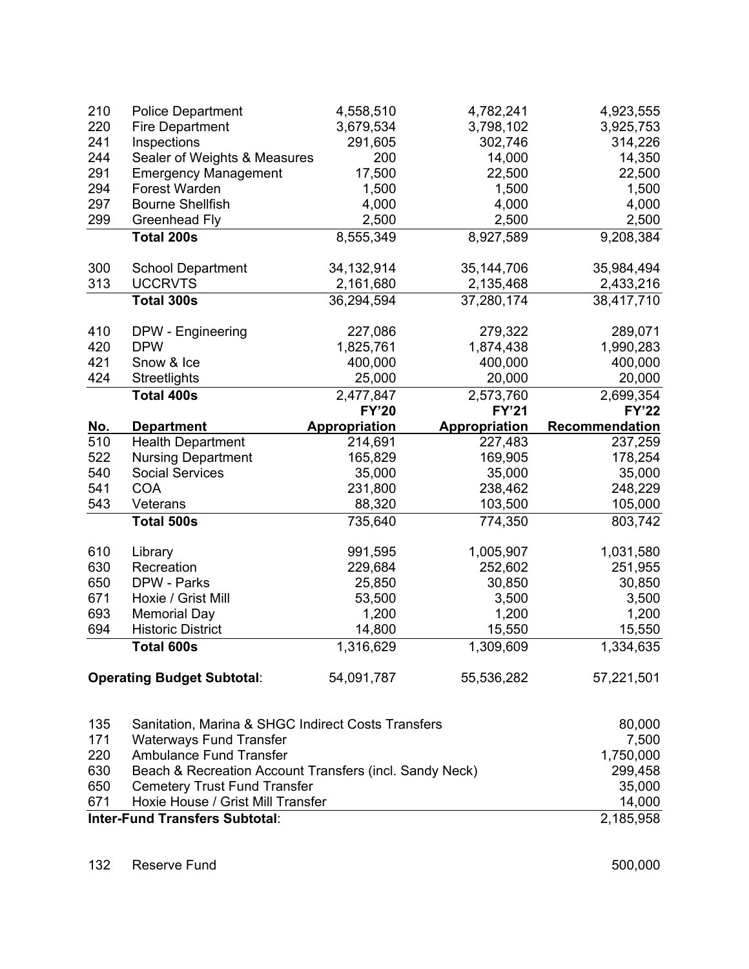| 210        | <b>Police Department</b>          | 4,558,510            | 4,782,241            | 4,923,555      |
|------------|-----------------------------------|----------------------|----------------------|----------------|
| 220        | <b>Fire Department</b>            | 3,679,534            | 3,798,102            | 3,925,753      |
| 241        | Inspections                       | 291,605              | 302,746              | 314,226        |
| 244        | Sealer of Weights & Measures      | 200                  | 14,000               | 14,350         |
| 291        | <b>Emergency Management</b>       | 17,500               | 22,500               | 22,500         |
| 294        | Forest Warden                     | 1,500                | 1,500                | 1,500          |
| 297        | <b>Bourne Shellfish</b>           | 4,000                | 4,000                | 4,000          |
| 299        | Greenhead Fly                     | 2,500                | 2,500                | 2,500          |
|            | <b>Total 200s</b>                 | 8,555,349            | 8,927,589            | 9,208,384      |
| 300        | <b>School Department</b>          | 34,132,914           | 35,144,706           | 35,984,494     |
| 313        | <b>UCCRVTS</b>                    | 2,161,680            | 2,135,468            | 2,433,216      |
|            | Total 300s                        | 36,294,594           | 37,280,174           | 38,417,710     |
| 410        | DPW - Engineering                 | 227,086              | 279,322              | 289,071        |
| 420        | <b>DPW</b>                        | 1,825,761            | 1,874,438            | 1,990,283      |
| 421        | Snow & Ice                        | 400,000              | 400,000              | 400,000        |
| 424        | Streetlights                      | 25,000               | 20,000               | 20,000         |
|            | <b>Total 400s</b>                 | 2,477,847            | 2,573,760            | 2,699,354      |
|            |                                   | <b>FY'20</b>         | <b>FY'21</b>         | <b>FY'22</b>   |
|            |                                   |                      |                      |                |
| <u>No.</u> | <b>Department</b>                 | <b>Appropriation</b> | <b>Appropriation</b> | Recommendation |
| 510        | <b>Health Department</b>          | 214,691              | 227,483              | 237,259        |
| 522        | <b>Nursing Department</b>         | 165,829              | 169,905              | 178,254        |
| 540        | <b>Social Services</b>            | 35,000               | 35,000               | 35,000         |
| 541        | <b>COA</b>                        | 231,800              | 238,462              | 248,229        |
| 543        | Veterans                          | 88,320               | 103,500              | 105,000        |
|            | Total 500s                        | 735,640              | 774,350              | 803,742        |
| 610        | Library                           | 991,595              | 1,005,907            | 1,031,580      |
| 630        | Recreation                        | 229,684              | 252,602              | 251,955        |
| 650        | DPW - Parks                       | 25,850               | 30,850               | 30,850         |
| 671        | Hoxie / Grist Mill                | 53,500               | 3,500                | 3,500          |
| 693        | <b>Memorial Day</b>               | 1,200                | 1,200                | 1,200          |
| 694        | <b>Historic District</b>          | 14,800               | 15,550               | 15,550         |
|            | Total 600s                        | 1,316,629            | 1,309,609            | 1,334,635      |
|            | <b>Operating Budget Subtotal:</b> | 54,091,787           | 55,536,282           | 57,221,501     |

|     | <b>Inter-Fund Transfers Subtotal:</b>                   | 2,185,958 |
|-----|---------------------------------------------------------|-----------|
| 671 | Hoxie House / Grist Mill Transfer                       | 14,000    |
| 650 | <b>Cemetery Trust Fund Transfer</b>                     | 35,000    |
| 630 | Beach & Recreation Account Transfers (incl. Sandy Neck) | 299,458   |
| 220 | <b>Ambulance Fund Transfer</b>                          | 1,750,000 |
| 171 | <b>Waterways Fund Transfer</b>                          | 7,500     |
| 135 | Sanitation, Marina & SHGC Indirect Costs Transfers      | 80,000    |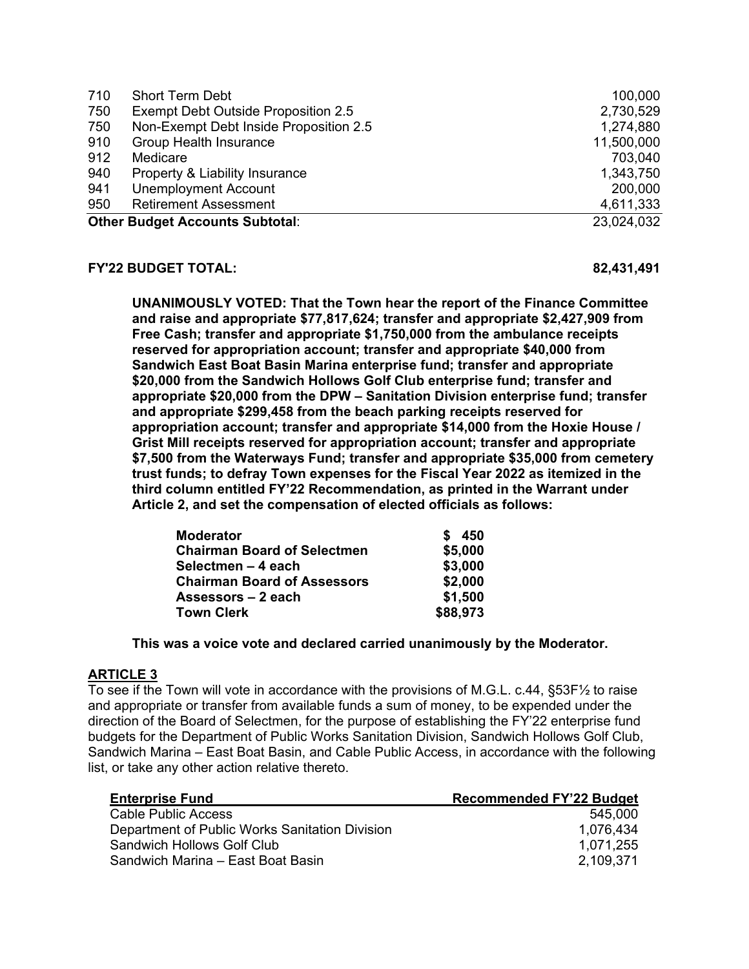| 710 | <b>Short Term Debt</b>                 | 100,000    |
|-----|----------------------------------------|------------|
| 750 | Exempt Debt Outside Proposition 2.5    | 2,730,529  |
| 750 | Non-Exempt Debt Inside Proposition 2.5 | 1,274,880  |
| 910 | <b>Group Health Insurance</b>          | 11,500,000 |
| 912 | Medicare                               | 703,040    |
| 940 | Property & Liability Insurance         | 1,343,750  |
| 941 | <b>Unemployment Account</b>            | 200,000    |
| 950 | <b>Retirement Assessment</b>           | 4,611,333  |
|     | <b>Other Budget Accounts Subtotal:</b> | 23,024,032 |

#### **FY'22 BUDGET TOTAL: 82,431,491**

**UNANIMOUSLY VOTED: That the Town hear the report of the Finance Committee and raise and appropriate \$77,817,624; transfer and appropriate \$2,427,909 from Free Cash; transfer and appropriate \$1,750,000 from the ambulance receipts reserved for appropriation account; transfer and appropriate \$40,000 from Sandwich East Boat Basin Marina enterprise fund; transfer and appropriate \$20,000 from the Sandwich Hollows Golf Club enterprise fund; transfer and appropriate \$20,000 from the DPW – Sanitation Division enterprise fund; transfer and appropriate \$299,458 from the beach parking receipts reserved for appropriation account; transfer and appropriate \$14,000 from the Hoxie House / Grist Mill receipts reserved for appropriation account; transfer and appropriate \$7,500 from the Waterways Fund; transfer and appropriate \$35,000 from cemetery trust funds; to defray Town expenses for the Fiscal Year 2022 as itemized in the third column entitled FY'22 Recommendation, as printed in the Warrant under Article 2, and set the compensation of elected officials as follows:**

| <b>Moderator</b>                   | 450      |
|------------------------------------|----------|
| <b>Chairman Board of Selectmen</b> | \$5,000  |
| Selectmen – 4 each                 | \$3,000  |
| <b>Chairman Board of Assessors</b> | \$2,000  |
| Assessors – 2 each                 | \$1,500  |
| <b>Town Clerk</b>                  | \$88,973 |

 **This was a voice vote and declared carried unanimously by the Moderator.** 

# **ARTICLE 3**

To see if the Town will vote in accordance with the provisions of M.G.L. c.44, §53F½ to raise and appropriate or transfer from available funds a sum of money, to be expended under the direction of the Board of Selectmen, for the purpose of establishing the FY'22 enterprise fund budgets for the Department of Public Works Sanitation Division, Sandwich Hollows Golf Club, Sandwich Marina – East Boat Basin, and Cable Public Access, in accordance with the following list, or take any other action relative thereto.

| <b>Enterprise Fund</b>                         | <b>Recommended FY'22 Budget</b> |
|------------------------------------------------|---------------------------------|
| Cable Public Access                            | 545,000                         |
| Department of Public Works Sanitation Division | 1,076,434                       |
| Sandwich Hollows Golf Club                     | 1,071,255                       |
| Sandwich Marina – East Boat Basin              | 2,109,371                       |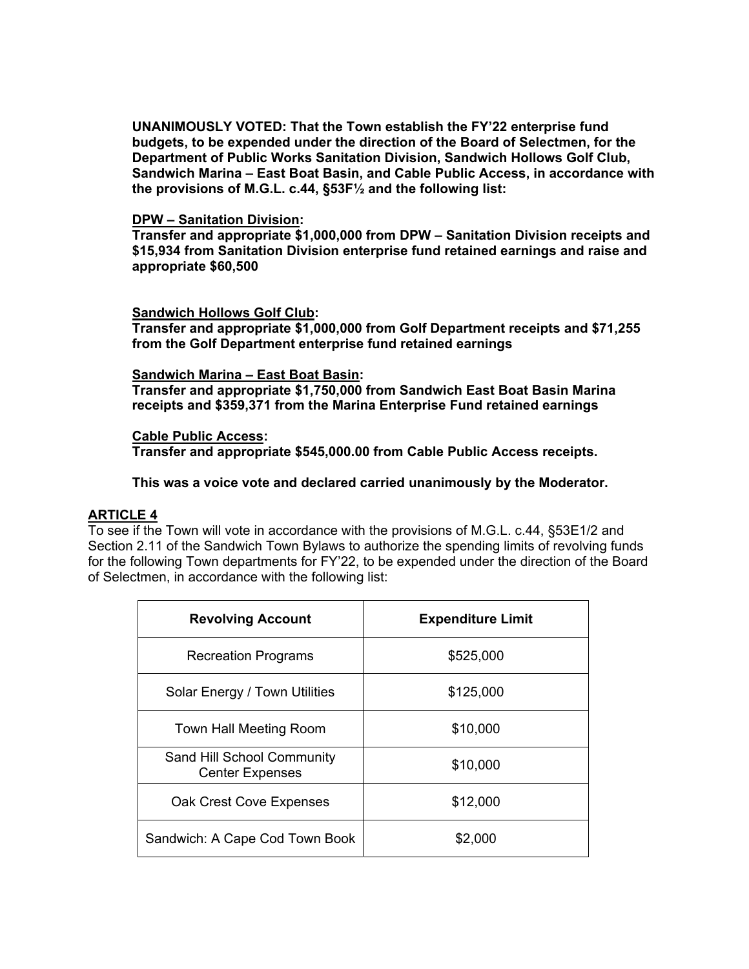**UNANIMOUSLY VOTED: That the Town establish the FY'22 enterprise fund budgets, to be expended under the direction of the Board of Selectmen, for the Department of Public Works Sanitation Division, Sandwich Hollows Golf Club, Sandwich Marina – East Boat Basin, and Cable Public Access, in accordance with the provisions of M.G.L. c.44, §53F½ and the following list:** 

### **DPW – Sanitation Division:**

**Transfer and appropriate \$1,000,000 from DPW – Sanitation Division receipts and \$15,934 from Sanitation Division enterprise fund retained earnings and raise and appropriate \$60,500** 

## **Sandwich Hollows Golf Club:**

**Transfer and appropriate \$1,000,000 from Golf Department receipts and \$71,255 from the Golf Department enterprise fund retained earnings** 

## **Sandwich Marina – East Boat Basin:**

**Transfer and appropriate \$1,750,000 from Sandwich East Boat Basin Marina receipts and \$359,371 from the Marina Enterprise Fund retained earnings** 

## **Cable Public Access:**

**Transfer and appropriate \$545,000.00 from Cable Public Access receipts.** 

 **This was a voice vote and declared carried unanimously by the Moderator.** 

# **ARTICLE 4**

To see if the Town will vote in accordance with the provisions of M.G.L. c.44, §53E1/2 and Section 2.11 of the Sandwich Town Bylaws to authorize the spending limits of revolving funds for the following Town departments for FY'22, to be expended under the direction of the Board of Selectmen, in accordance with the following list:

| <b>Revolving Account</b>                             | <b>Expenditure Limit</b> |
|------------------------------------------------------|--------------------------|
| <b>Recreation Programs</b>                           | \$525,000                |
| Solar Energy / Town Utilities                        | \$125,000                |
| Town Hall Meeting Room                               | \$10,000                 |
| Sand Hill School Community<br><b>Center Expenses</b> | \$10,000                 |
| <b>Oak Crest Cove Expenses</b>                       | \$12,000                 |
| Sandwich: A Cape Cod Town Book                       | \$2,000                  |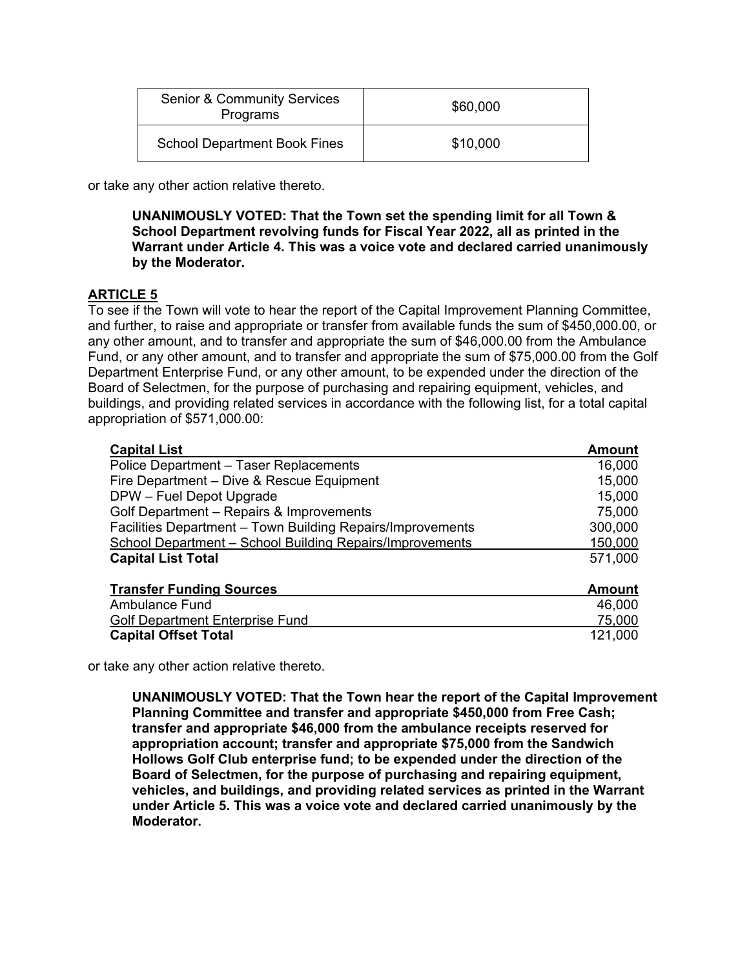| <b>Senior &amp; Community Services</b><br>Programs | \$60,000 |
|----------------------------------------------------|----------|
| <b>School Department Book Fines</b>                | \$10,000 |

or take any other action relative thereto.

## **UNANIMOUSLY VOTED: That the Town set the spending limit for all Town & School Department revolving funds for Fiscal Year 2022, all as printed in the Warrant under Article 4. This was a voice vote and declared carried unanimously by the Moderator.**

# **ARTICLE 5**

To see if the Town will vote to hear the report of the Capital Improvement Planning Committee, and further, to raise and appropriate or transfer from available funds the sum of \$450,000.00, or any other amount, and to transfer and appropriate the sum of \$46,000.00 from the Ambulance Fund, or any other amount, and to transfer and appropriate the sum of \$75,000.00 from the Golf Department Enterprise Fund, or any other amount, to be expended under the direction of the Board of Selectmen, for the purpose of purchasing and repairing equipment, vehicles, and buildings, and providing related services in accordance with the following list, for a total capital appropriation of \$571,000.00:

| <b>Capital List</b>                                        | <b>Amount</b> |
|------------------------------------------------------------|---------------|
| Police Department - Taser Replacements                     | 16,000        |
| Fire Department - Dive & Rescue Equipment                  | 15,000        |
| DPW - Fuel Depot Upgrade                                   | 15,000        |
| Golf Department - Repairs & Improvements                   | 75,000        |
| Facilities Department - Town Building Repairs/Improvements | 300,000       |
| School Department - School Building Repairs/Improvements   | 150,000       |
| <b>Capital List Total</b>                                  | 571,000       |
| <b>Transfer Funding Sources</b>                            | <b>Amount</b> |
| <b>Ambulance Fund</b>                                      | 46,000        |
| <b>Golf Department Enterprise Fund</b>                     | 75,000        |
| <b>Capital Offset Total</b>                                | 121,000       |

or take any other action relative thereto.

**UNANIMOUSLY VOTED: That the Town hear the report of the Capital Improvement Planning Committee and transfer and appropriate \$450,000 from Free Cash; transfer and appropriate \$46,000 from the ambulance receipts reserved for appropriation account; transfer and appropriate \$75,000 from the Sandwich Hollows Golf Club enterprise fund; to be expended under the direction of the Board of Selectmen, for the purpose of purchasing and repairing equipment, vehicles, and buildings, and providing related services as printed in the Warrant under Article 5. This was a voice vote and declared carried unanimously by the Moderator.**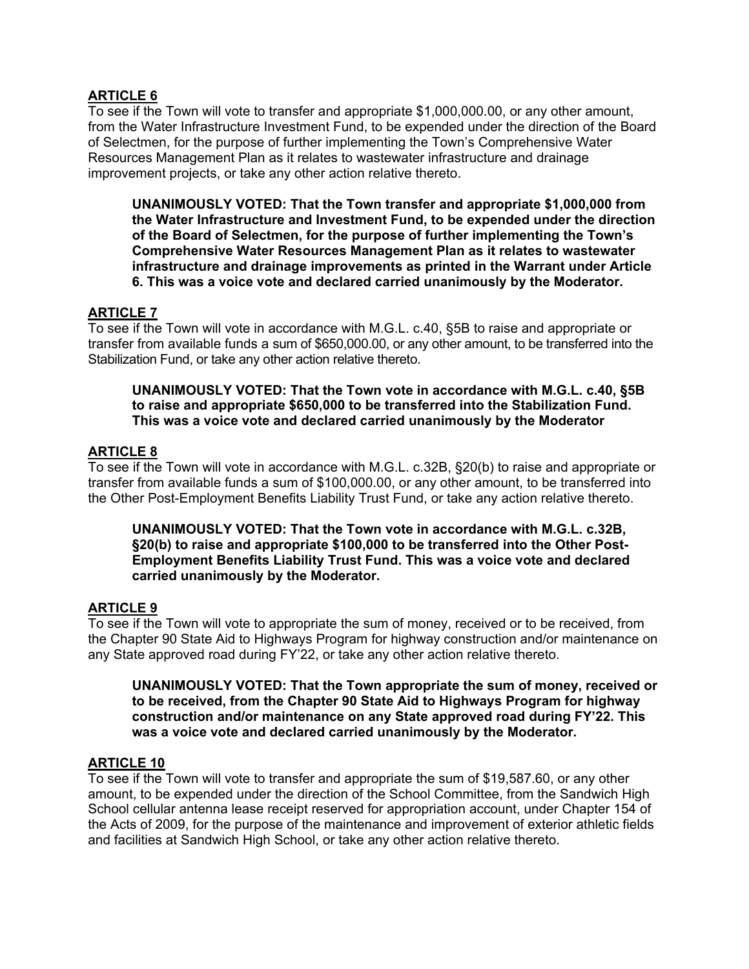# **ARTICLE 6**

To see if the Town will vote to transfer and appropriate \$1,000,000.00, or any other amount, from the Water Infrastructure Investment Fund, to be expended under the direction of the Board of Selectmen, for the purpose of further implementing the Town's Comprehensive Water Resources Management Plan as it relates to wastewater infrastructure and drainage improvement projects, or take any other action relative thereto.

**UNANIMOUSLY VOTED: That the Town transfer and appropriate \$1,000,000 from the Water Infrastructure and Investment Fund, to be expended under the direction of the Board of Selectmen, for the purpose of further implementing the Town's Comprehensive Water Resources Management Plan as it relates to wastewater infrastructure and drainage improvements as printed in the Warrant under Article 6. This was a voice vote and declared carried unanimously by the Moderator.** 

# **ARTICLE 7**

To see if the Town will vote in accordance with M.G.L. c.40, §5B to raise and appropriate or transfer from available funds a sum of \$650,000.00, or any other amount, to be transferred into the Stabilization Fund, or take any other action relative thereto.

**UNANIMOUSLY VOTED: That the Town vote in accordance with M.G.L. c.40, §5B to raise and appropriate \$650,000 to be transferred into the Stabilization Fund. This was a voice vote and declared carried unanimously by the Moderator** 

# **ARTICLE 8**

To see if the Town will vote in accordance with M.G.L. c.32B, §20(b) to raise and appropriate or transfer from available funds a sum of \$100,000.00, or any other amount, to be transferred into the Other Post-Employment Benefits Liability Trust Fund, or take any action relative thereto.

**UNANIMOUSLY VOTED: That the Town vote in accordance with M.G.L. c.32B, §20(b) to raise and appropriate \$100,000 to be transferred into the Other Post-Employment Benefits Liability Trust Fund. This was a voice vote and declared carried unanimously by the Moderator.** 

# **ARTICLE 9**

To see if the Town will vote to appropriate the sum of money, received or to be received, from the Chapter 90 State Aid to Highways Program for highway construction and/or maintenance on any State approved road during FY'22, or take any other action relative thereto.

**UNANIMOUSLY VOTED: That the Town appropriate the sum of money, received or to be received, from the Chapter 90 State Aid to Highways Program for highway construction and/or maintenance on any State approved road during FY'22. This was a voice vote and declared carried unanimously by the Moderator.** 

# **ARTICLE 10**

To see if the Town will vote to transfer and appropriate the sum of \$19,587.60, or any other amount, to be expended under the direction of the School Committee, from the Sandwich High School cellular antenna lease receipt reserved for appropriation account, under Chapter 154 of the Acts of 2009, for the purpose of the maintenance and improvement of exterior athletic fields and facilities at Sandwich High School, or take any other action relative thereto.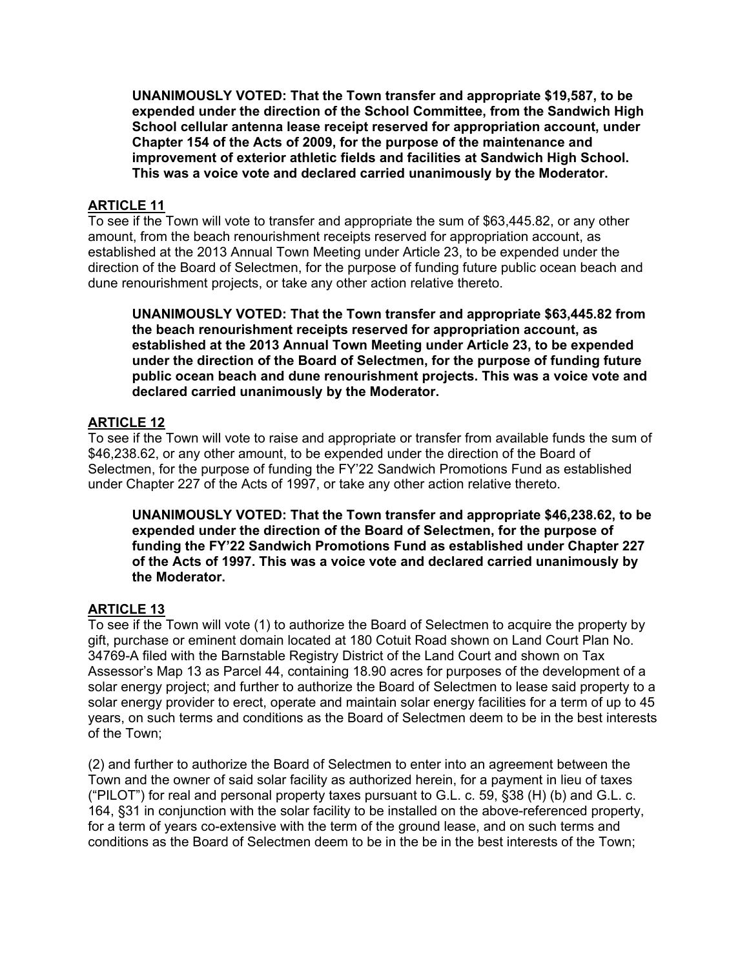**UNANIMOUSLY VOTED: That the Town transfer and appropriate \$19,587, to be expended under the direction of the School Committee, from the Sandwich High School cellular antenna lease receipt reserved for appropriation account, under Chapter 154 of the Acts of 2009, for the purpose of the maintenance and improvement of exterior athletic fields and facilities at Sandwich High School. This was a voice vote and declared carried unanimously by the Moderator.** 

# **ARTICLE 11**

To see if the Town will vote to transfer and appropriate the sum of \$63,445.82, or any other amount, from the beach renourishment receipts reserved for appropriation account, as established at the 2013 Annual Town Meeting under Article 23, to be expended under the direction of the Board of Selectmen, for the purpose of funding future public ocean beach and dune renourishment projects, or take any other action relative thereto.

**UNANIMOUSLY VOTED: That the Town transfer and appropriate \$63,445.82 from the beach renourishment receipts reserved for appropriation account, as established at the 2013 Annual Town Meeting under Article 23, to be expended under the direction of the Board of Selectmen, for the purpose of funding future public ocean beach and dune renourishment projects. This was a voice vote and declared carried unanimously by the Moderator.** 

# **ARTICLE 12**

To see if the Town will vote to raise and appropriate or transfer from available funds the sum of \$46,238.62, or any other amount, to be expended under the direction of the Board of Selectmen, for the purpose of funding the FY'22 Sandwich Promotions Fund as established under Chapter 227 of the Acts of 1997, or take any other action relative thereto.

**UNANIMOUSLY VOTED: That the Town transfer and appropriate \$46,238.62, to be expended under the direction of the Board of Selectmen, for the purpose of funding the FY'22 Sandwich Promotions Fund as established under Chapter 227 of the Acts of 1997. This was a voice vote and declared carried unanimously by the Moderator.** 

# **ARTICLE 13**

To see if the Town will vote (1) to authorize the Board of Selectmen to acquire the property by gift, purchase or eminent domain located at 180 Cotuit Road shown on Land Court Plan No. 34769-A filed with the Barnstable Registry District of the Land Court and shown on Tax Assessor's Map 13 as Parcel 44, containing 18.90 acres for purposes of the development of a solar energy project; and further to authorize the Board of Selectmen to lease said property to a solar energy provider to erect, operate and maintain solar energy facilities for a term of up to 45 years, on such terms and conditions as the Board of Selectmen deem to be in the best interests of the Town;

(2) and further to authorize the Board of Selectmen to enter into an agreement between the Town and the owner of said solar facility as authorized herein, for a payment in lieu of taxes ("PILOT") for real and personal property taxes pursuant to G.L. c. 59, §38 (H) (b) and G.L. c. 164, §31 in conjunction with the solar facility to be installed on the above-referenced property, for a term of years co-extensive with the term of the ground lease, and on such terms and conditions as the Board of Selectmen deem to be in the be in the best interests of the Town;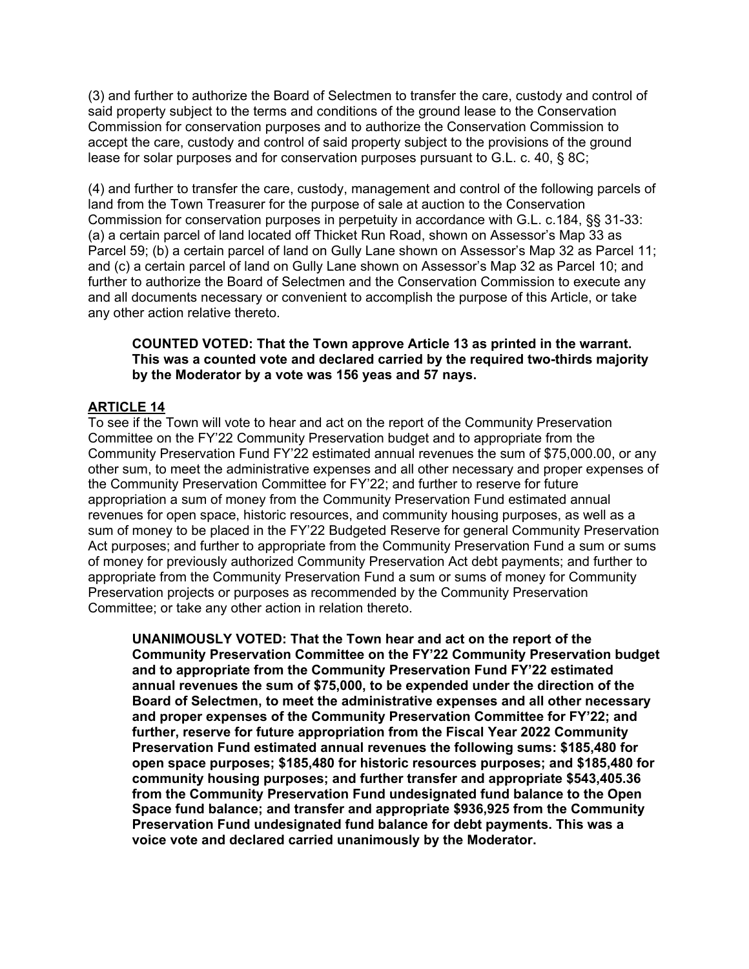(3) and further to authorize the Board of Selectmen to transfer the care, custody and control of said property subject to the terms and conditions of the ground lease to the Conservation Commission for conservation purposes and to authorize the Conservation Commission to accept the care, custody and control of said property subject to the provisions of the ground lease for solar purposes and for conservation purposes pursuant to G.L. c. 40, § 8C;

(4) and further to transfer the care, custody, management and control of the following parcels of land from the Town Treasurer for the purpose of sale at auction to the Conservation Commission for conservation purposes in perpetuity in accordance with G.L. c.184, §§ 31-33: (a) a certain parcel of land located off Thicket Run Road, shown on Assessor's Map 33 as Parcel 59; (b) a certain parcel of land on Gully Lane shown on Assessor's Map 32 as Parcel 11; and (c) a certain parcel of land on Gully Lane shown on Assessor's Map 32 as Parcel 10; and further to authorize the Board of Selectmen and the Conservation Commission to execute any and all documents necessary or convenient to accomplish the purpose of this Article, or take any other action relative thereto.

#### **COUNTED VOTED: That the Town approve Article 13 as printed in the warrant. This was a counted vote and declared carried by the required two-thirds majority by the Moderator by a vote was 156 yeas and 57 nays.**

# **ARTICLE 14**

To see if the Town will vote to hear and act on the report of the Community Preservation Committee on the FY'22 Community Preservation budget and to appropriate from the Community Preservation Fund FY'22 estimated annual revenues the sum of \$75,000.00, or any other sum, to meet the administrative expenses and all other necessary and proper expenses of the Community Preservation Committee for FY'22; and further to reserve for future appropriation a sum of money from the Community Preservation Fund estimated annual revenues for open space, historic resources, and community housing purposes, as well as a sum of money to be placed in the FY'22 Budgeted Reserve for general Community Preservation Act purposes; and further to appropriate from the Community Preservation Fund a sum or sums of money for previously authorized Community Preservation Act debt payments; and further to appropriate from the Community Preservation Fund a sum or sums of money for Community Preservation projects or purposes as recommended by the Community Preservation Committee; or take any other action in relation thereto.

**UNANIMOUSLY VOTED: That the Town hear and act on the report of the Community Preservation Committee on the FY'22 Community Preservation budget and to appropriate from the Community Preservation Fund FY'22 estimated annual revenues the sum of \$75,000, to be expended under the direction of the Board of Selectmen, to meet the administrative expenses and all other necessary and proper expenses of the Community Preservation Committee for FY'22; and further, reserve for future appropriation from the Fiscal Year 2022 Community Preservation Fund estimated annual revenues the following sums: \$185,480 for open space purposes; \$185,480 for historic resources purposes; and \$185,480 for community housing purposes; and further transfer and appropriate \$543,405.36 from the Community Preservation Fund undesignated fund balance to the Open Space fund balance; and transfer and appropriate \$936,925 from the Community Preservation Fund undesignated fund balance for debt payments. This was a voice vote and declared carried unanimously by the Moderator.**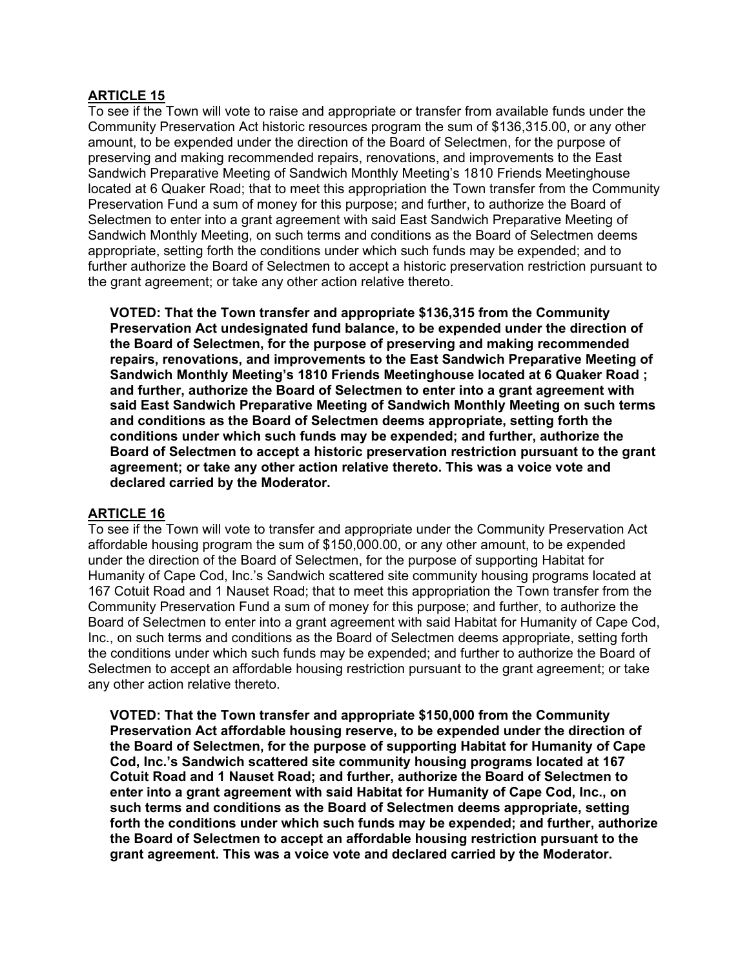# **ARTICLE 15**

To see if the Town will vote to raise and appropriate or transfer from available funds under the Community Preservation Act historic resources program the sum of \$136,315.00, or any other amount, to be expended under the direction of the Board of Selectmen, for the purpose of preserving and making recommended repairs, renovations, and improvements to the East Sandwich Preparative Meeting of Sandwich Monthly Meeting's 1810 Friends Meetinghouse located at 6 Quaker Road; that to meet this appropriation the Town transfer from the Community Preservation Fund a sum of money for this purpose; and further, to authorize the Board of Selectmen to enter into a grant agreement with said East Sandwich Preparative Meeting of Sandwich Monthly Meeting, on such terms and conditions as the Board of Selectmen deems appropriate, setting forth the conditions under which such funds may be expended; and to further authorize the Board of Selectmen to accept a historic preservation restriction pursuant to the grant agreement; or take any other action relative thereto.

**VOTED: That the Town transfer and appropriate \$136,315 from the Community Preservation Act undesignated fund balance, to be expended under the direction of the Board of Selectmen, for the purpose of preserving and making recommended repairs, renovations, and improvements to the East Sandwich Preparative Meeting of Sandwich Monthly Meeting's 1810 Friends Meetinghouse located at 6 Quaker Road ; and further, authorize the Board of Selectmen to enter into a grant agreement with said East Sandwich Preparative Meeting of Sandwich Monthly Meeting on such terms and conditions as the Board of Selectmen deems appropriate, setting forth the conditions under which such funds may be expended; and further, authorize the Board of Selectmen to accept a historic preservation restriction pursuant to the grant agreement; or take any other action relative thereto. This was a voice vote and declared carried by the Moderator.** 

## **ARTICLE 16**

To see if the Town will vote to transfer and appropriate under the Community Preservation Act affordable housing program the sum of \$150,000.00, or any other amount, to be expended under the direction of the Board of Selectmen, for the purpose of supporting Habitat for Humanity of Cape Cod, Inc.'s Sandwich scattered site community housing programs located at 167 Cotuit Road and 1 Nauset Road; that to meet this appropriation the Town transfer from the Community Preservation Fund a sum of money for this purpose; and further, to authorize the Board of Selectmen to enter into a grant agreement with said Habitat for Humanity of Cape Cod, Inc., on such terms and conditions as the Board of Selectmen deems appropriate, setting forth the conditions under which such funds may be expended; and further to authorize the Board of Selectmen to accept an affordable housing restriction pursuant to the grant agreement; or take any other action relative thereto.

**VOTED: That the Town transfer and appropriate \$150,000 from the Community Preservation Act affordable housing reserve, to be expended under the direction of the Board of Selectmen, for the purpose of supporting Habitat for Humanity of Cape Cod, Inc.'s Sandwich scattered site community housing programs located at 167 Cotuit Road and 1 Nauset Road; and further, authorize the Board of Selectmen to enter into a grant agreement with said Habitat for Humanity of Cape Cod, Inc., on such terms and conditions as the Board of Selectmen deems appropriate, setting forth the conditions under which such funds may be expended; and further, authorize the Board of Selectmen to accept an affordable housing restriction pursuant to the grant agreement. This was a voice vote and declared carried by the Moderator.**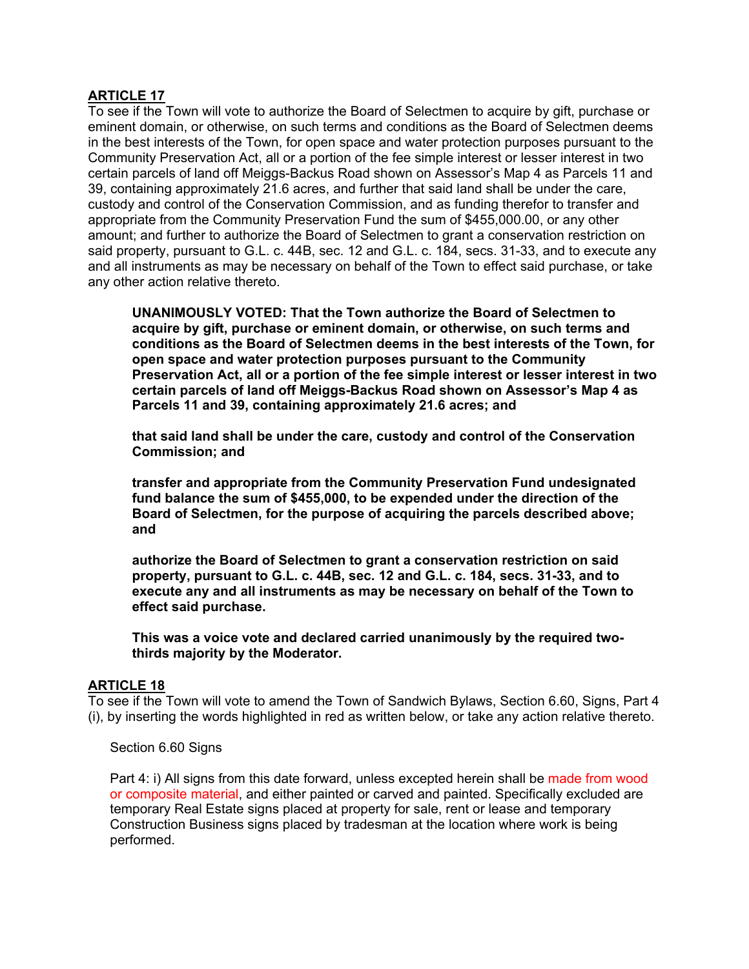# **ARTICLE 17**

To see if the Town will vote to authorize the Board of Selectmen to acquire by gift, purchase or eminent domain, or otherwise, on such terms and conditions as the Board of Selectmen deems in the best interests of the Town, for open space and water protection purposes pursuant to the Community Preservation Act, all or a portion of the fee simple interest or lesser interest in two certain parcels of land off Meiggs-Backus Road shown on Assessor's Map 4 as Parcels 11 and 39, containing approximately 21.6 acres, and further that said land shall be under the care, custody and control of the Conservation Commission, and as funding therefor to transfer and appropriate from the Community Preservation Fund the sum of \$455,000.00, or any other amount; and further to authorize the Board of Selectmen to grant a conservation restriction on said property, pursuant to G.L. c. 44B, sec. 12 and G.L. c. 184, secs. 31-33, and to execute any and all instruments as may be necessary on behalf of the Town to effect said purchase, or take any other action relative thereto.

**UNANIMOUSLY VOTED: That the Town authorize the Board of Selectmen to acquire by gift, purchase or eminent domain, or otherwise, on such terms and conditions as the Board of Selectmen deems in the best interests of the Town, for open space and water protection purposes pursuant to the Community Preservation Act, all or a portion of the fee simple interest or lesser interest in two certain parcels of land off Meiggs-Backus Road shown on Assessor's Map 4 as Parcels 11 and 39, containing approximately 21.6 acres; and** 

**that said land shall be under the care, custody and control of the Conservation Commission; and** 

**transfer and appropriate from the Community Preservation Fund undesignated fund balance the sum of \$455,000, to be expended under the direction of the Board of Selectmen, for the purpose of acquiring the parcels described above; and** 

**authorize the Board of Selectmen to grant a conservation restriction on said property, pursuant to G.L. c. 44B, sec. 12 and G.L. c. 184, secs. 31-33, and to execute any and all instruments as may be necessary on behalf of the Town to effect said purchase.** 

**This was a voice vote and declared carried unanimously by the required twothirds majority by the Moderator.** 

## **ARTICLE 18**

To see if the Town will vote to amend the Town of Sandwich Bylaws, Section 6.60, Signs, Part 4 (i), by inserting the words highlighted in red as written below, or take any action relative thereto.

Section 6.60 Signs

Part 4: i) All signs from this date forward, unless excepted herein shall be made from wood or composite material, and either painted or carved and painted. Specifically excluded are temporary Real Estate signs placed at property for sale, rent or lease and temporary Construction Business signs placed by tradesman at the location where work is being performed.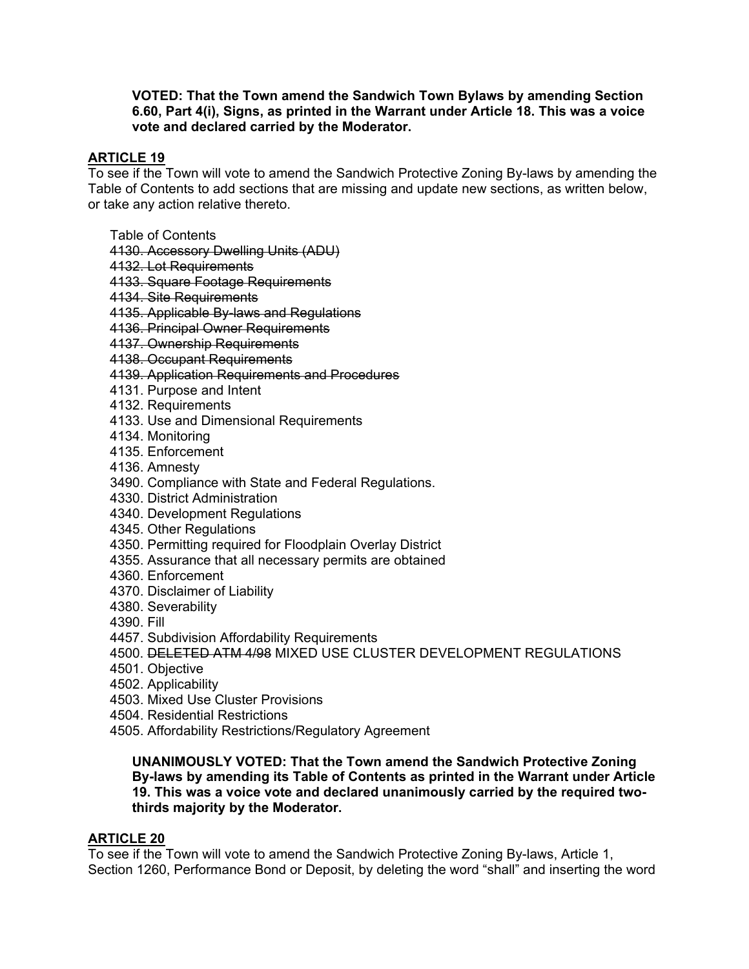#### **VOTED: That the Town amend the Sandwich Town Bylaws by amending Section 6.60, Part 4(i), Signs, as printed in the Warrant under Article 18. This was a voice vote and declared carried by the Moderator.**

# **ARTICLE 19**

To see if the Town will vote to amend the Sandwich Protective Zoning By-laws by amending the Table of Contents to add sections that are missing and update new sections, as written below, or take any action relative thereto.

- Table of Contents
- 4130. Accessory Dwelling Units (ADU)
- 4132. Lot Requirements
- 4133. Square Footage Requirements
- 4134. Site Requirements
- 4135. Applicable By-laws and Regulations
- 4136. Principal Owner Requirements
- 4137. Ownership Requirements
- 4138. Occupant Requirements
- 4139. Application Requirements and Procedures
- 4131. Purpose and Intent
- 4132. Requirements
- 4133. Use and Dimensional Requirements
- 4134. Monitoring
- 4135. Enforcement
- 4136. Amnesty
- 3490. Compliance with State and Federal Regulations.
- 4330. District Administration
- 4340. Development Regulations
- 4345. Other Regulations
- 4350. Permitting required for Floodplain Overlay District
- 4355. Assurance that all necessary permits are obtained
- 4360. Enforcement
- 4370. Disclaimer of Liability
- 4380. Severability
- 4390. Fill
- 4457. Subdivision Affordability Requirements
- 4500. DELETED ATM 4/98 MIXED USE CLUSTER DEVELOPMENT REGULATIONS
- 4501. Objective
- 4502. Applicability
- 4503. Mixed Use Cluster Provisions
- 4504. Residential Restrictions
- 4505. Affordability Restrictions/Regulatory Agreement

## **UNANIMOUSLY VOTED: That the Town amend the Sandwich Protective Zoning By-laws by amending its Table of Contents as printed in the Warrant under Article 19. This was a voice vote and declared unanimously carried by the required twothirds majority by the Moderator.**

# **ARTICLE 20**

To see if the Town will vote to amend the Sandwich Protective Zoning By-laws, Article 1, Section 1260, Performance Bond or Deposit, by deleting the word "shall" and inserting the word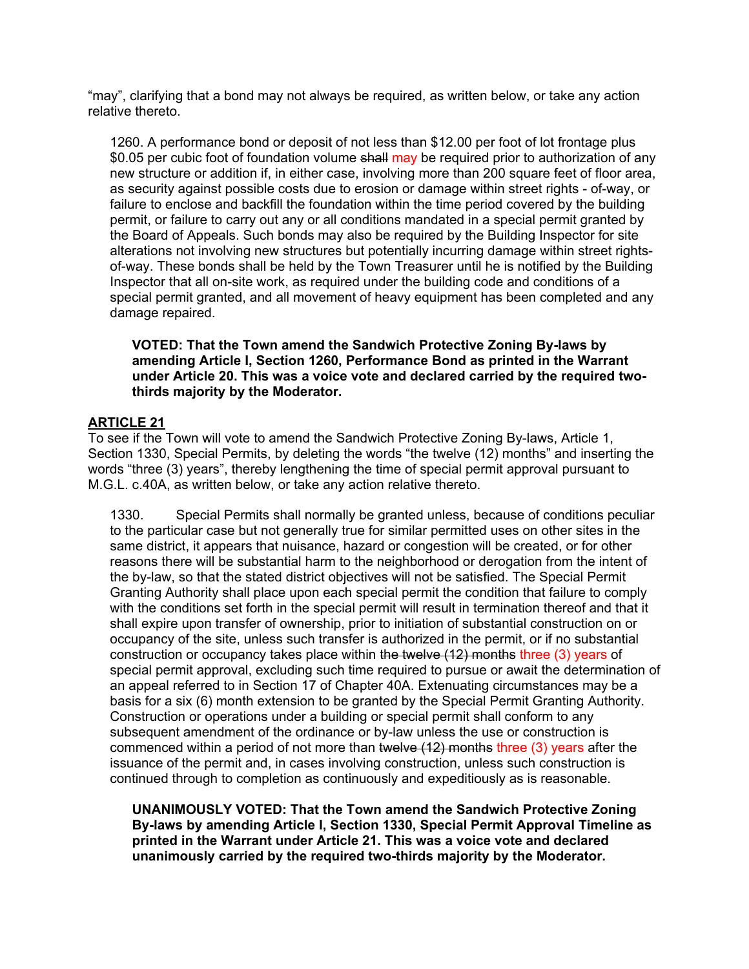"may", clarifying that a bond may not always be required, as written below, or take any action relative thereto.

1260. A performance bond or deposit of not less than \$12.00 per foot of lot frontage plus \$0.05 per cubic foot of foundation volume shall may be required prior to authorization of any new structure or addition if, in either case, involving more than 200 square feet of floor area, as security against possible costs due to erosion or damage within street rights - of-way, or failure to enclose and backfill the foundation within the time period covered by the building permit, or failure to carry out any or all conditions mandated in a special permit granted by the Board of Appeals. Such bonds may also be required by the Building Inspector for site alterations not involving new structures but potentially incurring damage within street rightsof-way. These bonds shall be held by the Town Treasurer until he is notified by the Building Inspector that all on-site work, as required under the building code and conditions of a special permit granted, and all movement of heavy equipment has been completed and any damage repaired.

**VOTED: That the Town amend the Sandwich Protective Zoning By-laws by amending Article I, Section 1260, Performance Bond as printed in the Warrant under Article 20. This was a voice vote and declared carried by the required twothirds majority by the Moderator.** 

# **ARTICLE 21**

To see if the Town will vote to amend the Sandwich Protective Zoning By-laws, Article 1, Section 1330, Special Permits, by deleting the words "the twelve (12) months" and inserting the words "three (3) years", thereby lengthening the time of special permit approval pursuant to M.G.L. c.40A, as written below, or take any action relative thereto.

1330. Special Permits shall normally be granted unless, because of conditions peculiar to the particular case but not generally true for similar permitted uses on other sites in the same district, it appears that nuisance, hazard or congestion will be created, or for other reasons there will be substantial harm to the neighborhood or derogation from the intent of the by-law, so that the stated district objectives will not be satisfied. The Special Permit Granting Authority shall place upon each special permit the condition that failure to comply with the conditions set forth in the special permit will result in termination thereof and that it shall expire upon transfer of ownership, prior to initiation of substantial construction on or occupancy of the site, unless such transfer is authorized in the permit, or if no substantial construction or occupancy takes place within the twelve (12) months three (3) years of special permit approval, excluding such time required to pursue or await the determination of an appeal referred to in Section 17 of Chapter 40A. Extenuating circumstances may be a basis for a six (6) month extension to be granted by the Special Permit Granting Authority. Construction or operations under a building or special permit shall conform to any subsequent amendment of the ordinance or by-law unless the use or construction is commenced within a period of not more than twelve (12) months three (3) years after the issuance of the permit and, in cases involving construction, unless such construction is continued through to completion as continuously and expeditiously as is reasonable.

**UNANIMOUSLY VOTED: That the Town amend the Sandwich Protective Zoning By-laws by amending Article I, Section 1330, Special Permit Approval Timeline as printed in the Warrant under Article 21. This was a voice vote and declared unanimously carried by the required two-thirds majority by the Moderator.**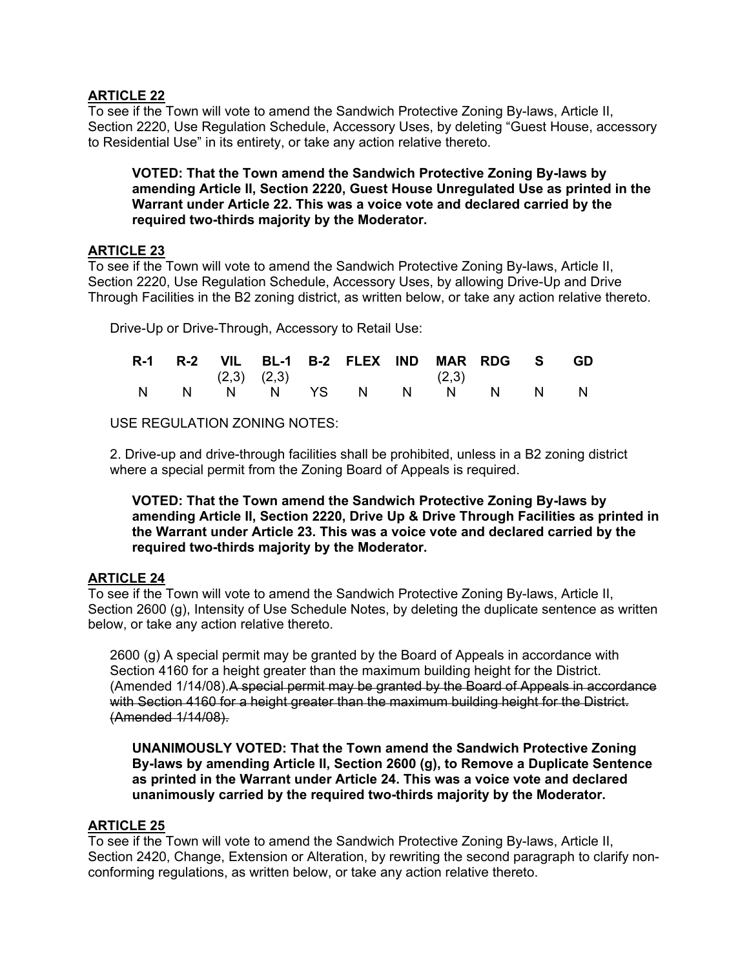# **ARTICLE 22**

To see if the Town will vote to amend the Sandwich Protective Zoning By-laws, Article II, Section 2220, Use Regulation Schedule, Accessory Uses, by deleting "Guest House, accessory to Residential Use" in its entirety, or take any action relative thereto.

## **VOTED: That the Town amend the Sandwich Protective Zoning By-laws by amending Article II, Section 2220, Guest House Unregulated Use as printed in the Warrant under Article 22. This was a voice vote and declared carried by the required two-thirds majority by the Moderator.**

# **ARTICLE 23**

To see if the Town will vote to amend the Sandwich Protective Zoning By-laws, Article II, Section 2220, Use Regulation Schedule, Accessory Uses, by allowing Drive-Up and Drive Through Facilities in the B2 zoning district, as written below, or take any action relative thereto.

Drive-Up or Drive-Through, Accessory to Retail Use:

|  |  |  | R-1 R-2 VIL BL-1 B-2 FLEX IND MAR RDG S GD |  |  |  |
|--|--|--|--------------------------------------------|--|--|--|
|  |  |  | $(2,3)$ $(2,3)$ $(2,3)$                    |  |  |  |
|  |  |  | N N N N YS N N N N N N                     |  |  |  |

USE REGULATION ZONING NOTES:

2. Drive-up and drive-through facilities shall be prohibited, unless in a B2 zoning district where a special permit from the Zoning Board of Appeals is required.

**VOTED: That the Town amend the Sandwich Protective Zoning By-laws by amending Article II, Section 2220, Drive Up & Drive Through Facilities as printed in the Warrant under Article 23. This was a voice vote and declared carried by the required two-thirds majority by the Moderator.** 

# **ARTICLE 24**

To see if the Town will vote to amend the Sandwich Protective Zoning By-laws, Article II, Section 2600 (g), Intensity of Use Schedule Notes, by deleting the duplicate sentence as written below, or take any action relative thereto.

2600 (g) A special permit may be granted by the Board of Appeals in accordance with Section 4160 for a height greater than the maximum building height for the District. (Amended 1/14/08).A special permit may be granted by the Board of Appeals in accordance with Section 4160 for a height greater than the maximum building height for the District. (Amended 1/14/08).

**UNANIMOUSLY VOTED: That the Town amend the Sandwich Protective Zoning By-laws by amending Article II, Section 2600 (g), to Remove a Duplicate Sentence as printed in the Warrant under Article 24. This was a voice vote and declared unanimously carried by the required two-thirds majority by the Moderator.** 

# **ARTICLE 25**

To see if the Town will vote to amend the Sandwich Protective Zoning By-laws, Article II, Section 2420, Change, Extension or Alteration, by rewriting the second paragraph to clarify nonconforming regulations, as written below, or take any action relative thereto.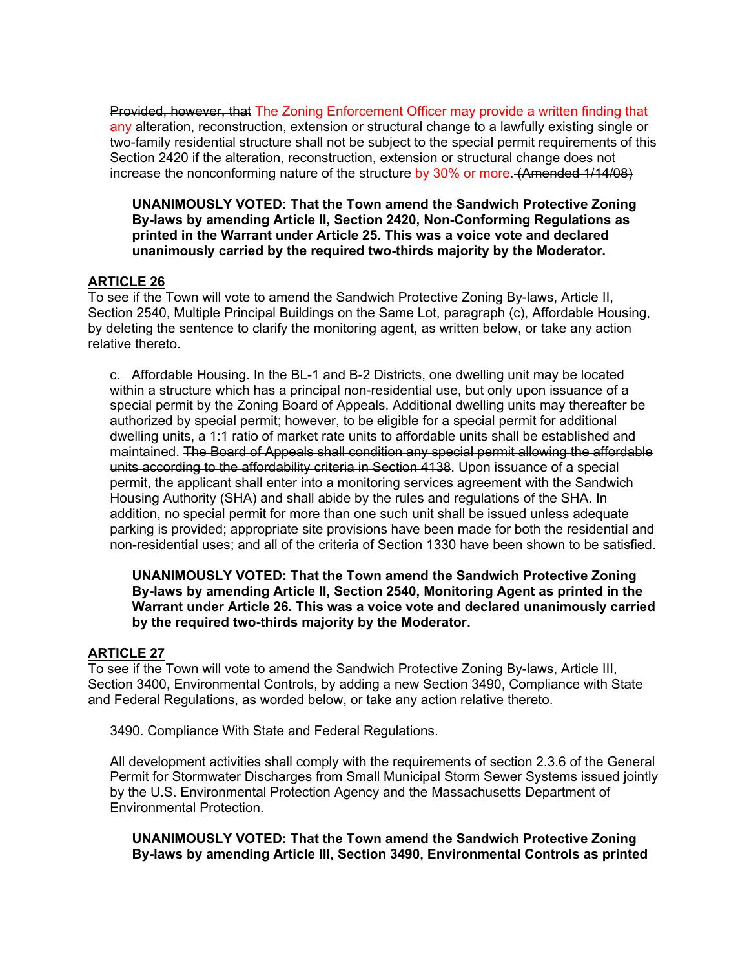Provided, however, that The Zoning Enforcement Officer may provide a written finding that any alteration, reconstruction, extension or structural change to a lawfully existing single or two-family residential structure shall not be subject to the special permit requirements of this Section 2420 if the alteration, reconstruction, extension or structural change does not increase the nonconforming nature of the structure by 30% or more. (Amended 1/14/08)

**UNANIMOUSLY VOTED: That the Town amend the Sandwich Protective Zoning By-laws by amending Article II, Section 2420, Non-Conforming Regulations as printed in the Warrant under Article 25. This was a voice vote and declared unanimously carried by the required two-thirds majority by the Moderator.** 

## **ARTICLE 26**

To see if the Town will vote to amend the Sandwich Protective Zoning By-laws, Article II, Section 2540, Multiple Principal Buildings on the Same Lot, paragraph (c), Affordable Housing, by deleting the sentence to clarify the monitoring agent, as written below, or take any action relative thereto.

c. Affordable Housing. In the BL-1 and B-2 Districts, one dwelling unit may be located within a structure which has a principal non-residential use, but only upon issuance of a special permit by the Zoning Board of Appeals. Additional dwelling units may thereafter be authorized by special permit; however, to be eligible for a special permit for additional dwelling units, a 1:1 ratio of market rate units to affordable units shall be established and maintained. The Board of Appeals shall condition any special permit allowing the affordable units according to the affordability criteria in Section 4138. Upon issuance of a special permit, the applicant shall enter into a monitoring services agreement with the Sandwich Housing Authority (SHA) and shall abide by the rules and regulations of the SHA. In addition, no special permit for more than one such unit shall be issued unless adequate parking is provided; appropriate site provisions have been made for both the residential and non-residential uses; and all of the criteria of Section 1330 have been shown to be satisfied.

## **UNANIMOUSLY VOTED: That the Town amend the Sandwich Protective Zoning By-laws by amending Article II, Section 2540, Monitoring Agent as printed in the Warrant under Article 26. This was a voice vote and declared unanimously carried by the required two-thirds majority by the Moderator.**

# **ARTICLE 27**

To see if the Town will vote to amend the Sandwich Protective Zoning By-laws, Article III, Section 3400, Environmental Controls, by adding a new Section 3490, Compliance with State and Federal Regulations, as worded below, or take any action relative thereto.

3490. Compliance With State and Federal Regulations.

All development activities shall comply with the requirements of section 2.3.6 of the General Permit for Stormwater Discharges from Small Municipal Storm Sewer Systems issued jointly by the U.S. Environmental Protection Agency and the Massachusetts Department of Environmental Protection.

**UNANIMOUSLY VOTED: That the Town amend the Sandwich Protective Zoning By-laws by amending Article III, Section 3490, Environmental Controls as printed**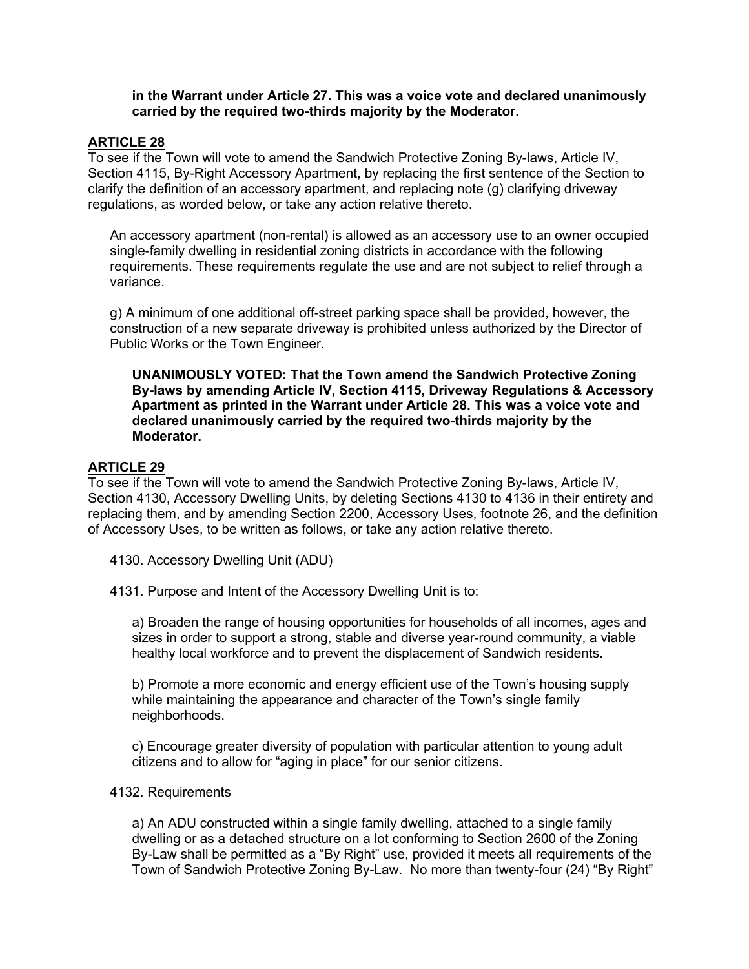#### **in the Warrant under Article 27. This was a voice vote and declared unanimously carried by the required two-thirds majority by the Moderator.**

## **ARTICLE 28**

To see if the Town will vote to amend the Sandwich Protective Zoning By-laws, Article IV, Section 4115, By-Right Accessory Apartment, by replacing the first sentence of the Section to clarify the definition of an accessory apartment, and replacing note (g) clarifying driveway regulations, as worded below, or take any action relative thereto.

An accessory apartment (non-rental) is allowed as an accessory use to an owner occupied single-family dwelling in residential zoning districts in accordance with the following requirements. These requirements regulate the use and are not subject to relief through a variance.

g) A minimum of one additional off-street parking space shall be provided, however, the construction of a new separate driveway is prohibited unless authorized by the Director of Public Works or the Town Engineer.

**UNANIMOUSLY VOTED: That the Town amend the Sandwich Protective Zoning By-laws by amending Article IV, Section 4115, Driveway Regulations & Accessory Apartment as printed in the Warrant under Article 28. This was a voice vote and declared unanimously carried by the required two-thirds majority by the Moderator.** 

## **ARTICLE 29**

To see if the Town will vote to amend the Sandwich Protective Zoning By-laws, Article IV, Section 4130, Accessory Dwelling Units, by deleting Sections 4130 to 4136 in their entirety and replacing them, and by amending Section 2200, Accessory Uses, footnote 26, and the definition of Accessory Uses, to be written as follows, or take any action relative thereto.

4130. Accessory Dwelling Unit (ADU)

4131. Purpose and Intent of the Accessory Dwelling Unit is to:

a) Broaden the range of housing opportunities for households of all incomes, ages and sizes in order to support a strong, stable and diverse year-round community, a viable healthy local workforce and to prevent the displacement of Sandwich residents.

b) Promote a more economic and energy efficient use of the Town's housing supply while maintaining the appearance and character of the Town's single family neighborhoods.

c) Encourage greater diversity of population with particular attention to young adult citizens and to allow for "aging in place" for our senior citizens.

#### 4132. Requirements

a) An ADU constructed within a single family dwelling, attached to a single family dwelling or as a detached structure on a lot conforming to Section 2600 of the Zoning By-Law shall be permitted as a "By Right" use, provided it meets all requirements of the Town of Sandwich Protective Zoning By-Law. No more than twenty-four (24) "By Right"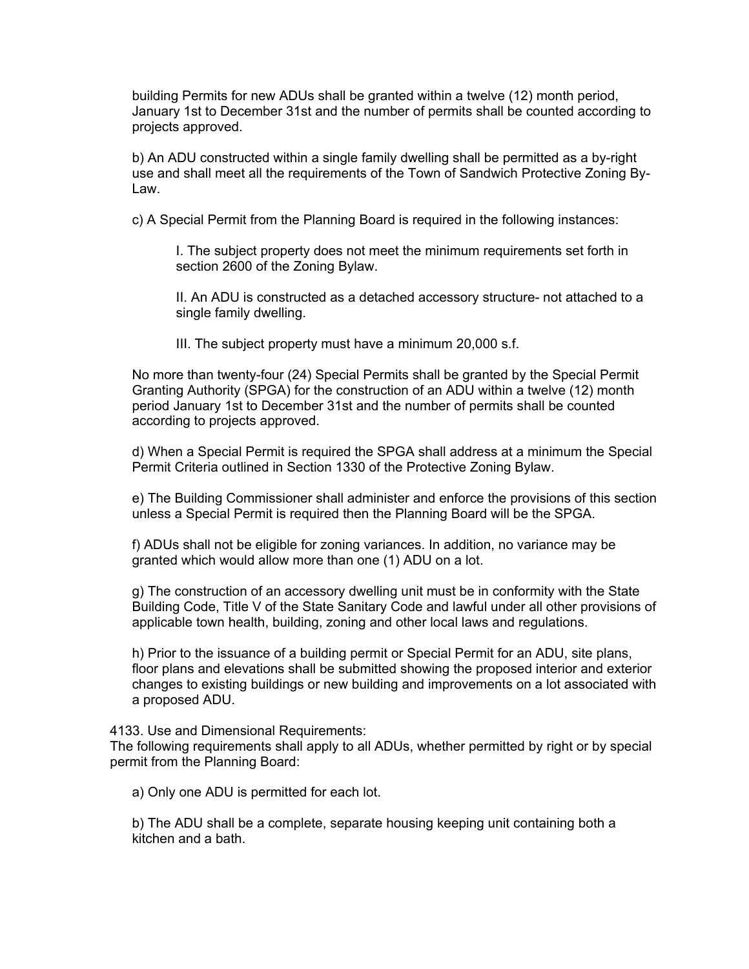building Permits for new ADUs shall be granted within a twelve (12) month period, January 1st to December 31st and the number of permits shall be counted according to projects approved.

b) An ADU constructed within a single family dwelling shall be permitted as a by-right use and shall meet all the requirements of the Town of Sandwich Protective Zoning By-Law.

c) A Special Permit from the Planning Board is required in the following instances:

I. The subject property does not meet the minimum requirements set forth in section 2600 of the Zoning Bylaw.

II. An ADU is constructed as a detached accessory structure- not attached to a single family dwelling.

III. The subject property must have a minimum 20,000 s.f.

No more than twenty-four (24) Special Permits shall be granted by the Special Permit Granting Authority (SPGA) for the construction of an ADU within a twelve (12) month period January 1st to December 31st and the number of permits shall be counted according to projects approved.

d) When a Special Permit is required the SPGA shall address at a minimum the Special Permit Criteria outlined in Section 1330 of the Protective Zoning Bylaw.

e) The Building Commissioner shall administer and enforce the provisions of this section unless a Special Permit is required then the Planning Board will be the SPGA.

f) ADUs shall not be eligible for zoning variances. In addition, no variance may be granted which would allow more than one (1) ADU on a lot.

g) The construction of an accessory dwelling unit must be in conformity with the State Building Code, Title V of the State Sanitary Code and lawful under all other provisions of applicable town health, building, zoning and other local laws and regulations.

h) Prior to the issuance of a building permit or Special Permit for an ADU, site plans, floor plans and elevations shall be submitted showing the proposed interior and exterior changes to existing buildings or new building and improvements on a lot associated with a proposed ADU.

4133. Use and Dimensional Requirements:

The following requirements shall apply to all ADUs, whether permitted by right or by special permit from the Planning Board:

a) Only one ADU is permitted for each lot.

b) The ADU shall be a complete, separate housing keeping unit containing both a kitchen and a bath.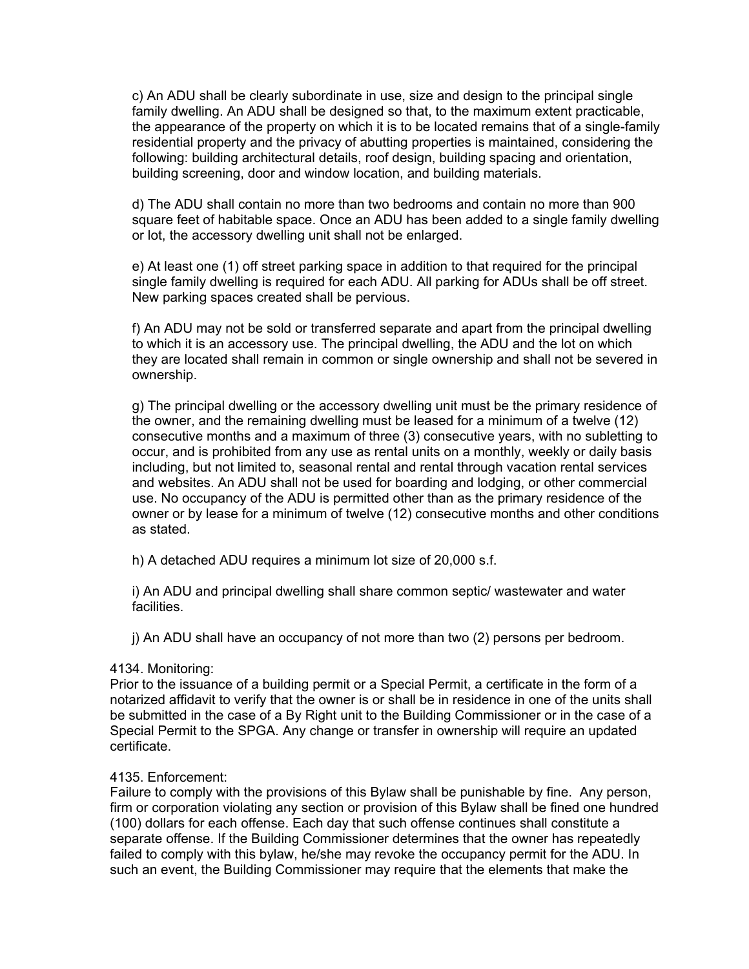c) An ADU shall be clearly subordinate in use, size and design to the principal single family dwelling. An ADU shall be designed so that, to the maximum extent practicable, the appearance of the property on which it is to be located remains that of a single-family residential property and the privacy of abutting properties is maintained, considering the following: building architectural details, roof design, building spacing and orientation, building screening, door and window location, and building materials.

d) The ADU shall contain no more than two bedrooms and contain no more than 900 square feet of habitable space. Once an ADU has been added to a single family dwelling or lot, the accessory dwelling unit shall not be enlarged.

e) At least one (1) off street parking space in addition to that required for the principal single family dwelling is required for each ADU. All parking for ADUs shall be off street. New parking spaces created shall be pervious.

f) An ADU may not be sold or transferred separate and apart from the principal dwelling to which it is an accessory use. The principal dwelling, the ADU and the lot on which they are located shall remain in common or single ownership and shall not be severed in ownership.

g) The principal dwelling or the accessory dwelling unit must be the primary residence of the owner, and the remaining dwelling must be leased for a minimum of a twelve (12) consecutive months and a maximum of three (3) consecutive years, with no subletting to occur, and is prohibited from any use as rental units on a monthly, weekly or daily basis including, but not limited to, seasonal rental and rental through vacation rental services and websites. An ADU shall not be used for boarding and lodging, or other commercial use. No occupancy of the ADU is permitted other than as the primary residence of the owner or by lease for a minimum of twelve (12) consecutive months and other conditions as stated.

h) A detached ADU requires a minimum lot size of 20,000 s.f.

i) An ADU and principal dwelling shall share common septic/ wastewater and water facilities.

j) An ADU shall have an occupancy of not more than two (2) persons per bedroom.

#### 4134. Monitoring:

Prior to the issuance of a building permit or a Special Permit, a certificate in the form of a notarized affidavit to verify that the owner is or shall be in residence in one of the units shall be submitted in the case of a By Right unit to the Building Commissioner or in the case of a Special Permit to the SPGA. Any change or transfer in ownership will require an updated certificate.

#### 4135. Enforcement:

Failure to comply with the provisions of this Bylaw shall be punishable by fine. Any person, firm or corporation violating any section or provision of this Bylaw shall be fined one hundred (100) dollars for each offense. Each day that such offense continues shall constitute a separate offense. If the Building Commissioner determines that the owner has repeatedly failed to comply with this bylaw, he/she may revoke the occupancy permit for the ADU. In such an event, the Building Commissioner may require that the elements that make the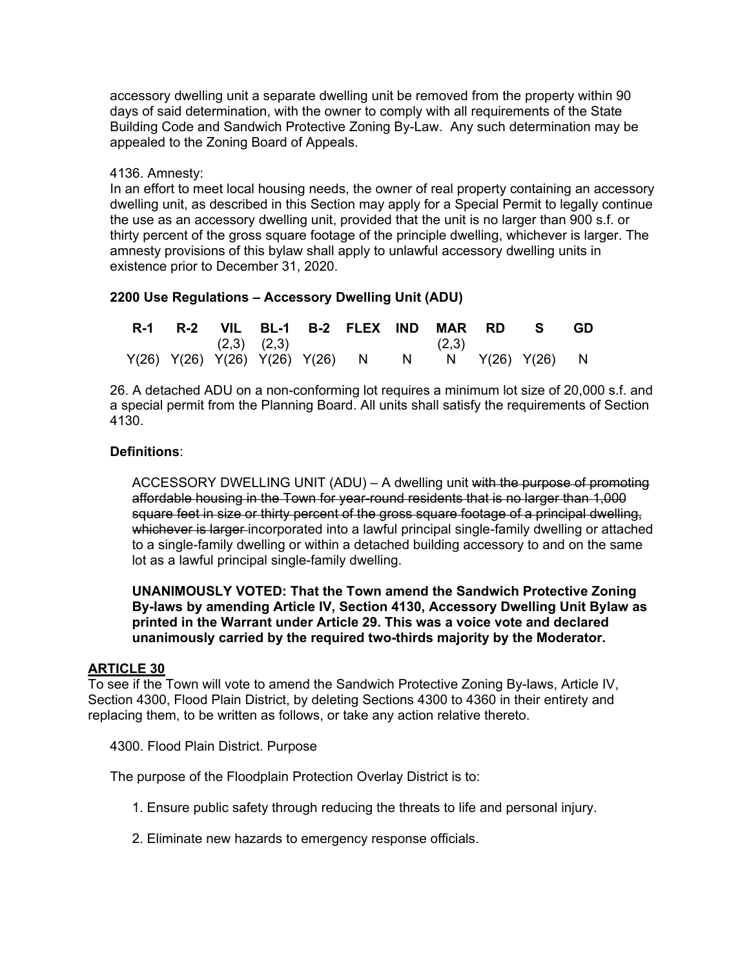accessory dwelling unit a separate dwelling unit be removed from the property within 90 days of said determination, with the owner to comply with all requirements of the State Building Code and Sandwich Protective Zoning By-Law. Any such determination may be appealed to the Zoning Board of Appeals.

### 4136. Amnesty:

In an effort to meet local housing needs, the owner of real property containing an accessory dwelling unit, as described in this Section may apply for a Special Permit to legally continue the use as an accessory dwelling unit, provided that the unit is no larger than 900 s.f. or thirty percent of the gross square footage of the principle dwelling, whichever is larger. The amnesty provisions of this bylaw shall apply to unlawful accessory dwelling units in existence prior to December 31, 2020.

# **2200 Use Regulations – Accessory Dwelling Unit (ADU)**

|  |  |                 | R-1 R-2 VIL BL-1 B-2 FLEX IND MAR RD S            |       |  | - GD |
|--|--|-----------------|---------------------------------------------------|-------|--|------|
|  |  | $(2,3)$ $(2,3)$ |                                                   | (2,3) |  |      |
|  |  |                 | Y(26) Y(26) Y(26) Y(26) Y(26) N N N Y(26) Y(26) N |       |  |      |

26. A detached ADU on a non-conforming lot requires a minimum lot size of 20,000 s.f. and a special permit from the Planning Board. All units shall satisfy the requirements of Section 4130.

# **Definitions**:

ACCESSORY DWELLING UNIT (ADU) – A dwelling unit with the purpose of promoting affordable housing in the Town for year-round residents that is no larger than 1,000 square feet in size or thirty percent of the gross square footage of a principal dwelling. whichever is larger incorporated into a lawful principal single-family dwelling or attached to a single-family dwelling or within a detached building accessory to and on the same lot as a lawful principal single-family dwelling.

**UNANIMOUSLY VOTED: That the Town amend the Sandwich Protective Zoning By-laws by amending Article IV, Section 4130, Accessory Dwelling Unit Bylaw as printed in the Warrant under Article 29. This was a voice vote and declared unanimously carried by the required two-thirds majority by the Moderator.** 

# **ARTICLE 30**

To see if the Town will vote to amend the Sandwich Protective Zoning By-laws, Article IV, Section 4300, Flood Plain District, by deleting Sections 4300 to 4360 in their entirety and replacing them, to be written as follows, or take any action relative thereto.

4300. Flood Plain District. Purpose

The purpose of the Floodplain Protection Overlay District is to:

- 1. Ensure public safety through reducing the threats to life and personal injury.
- 2. Eliminate new hazards to emergency response officials.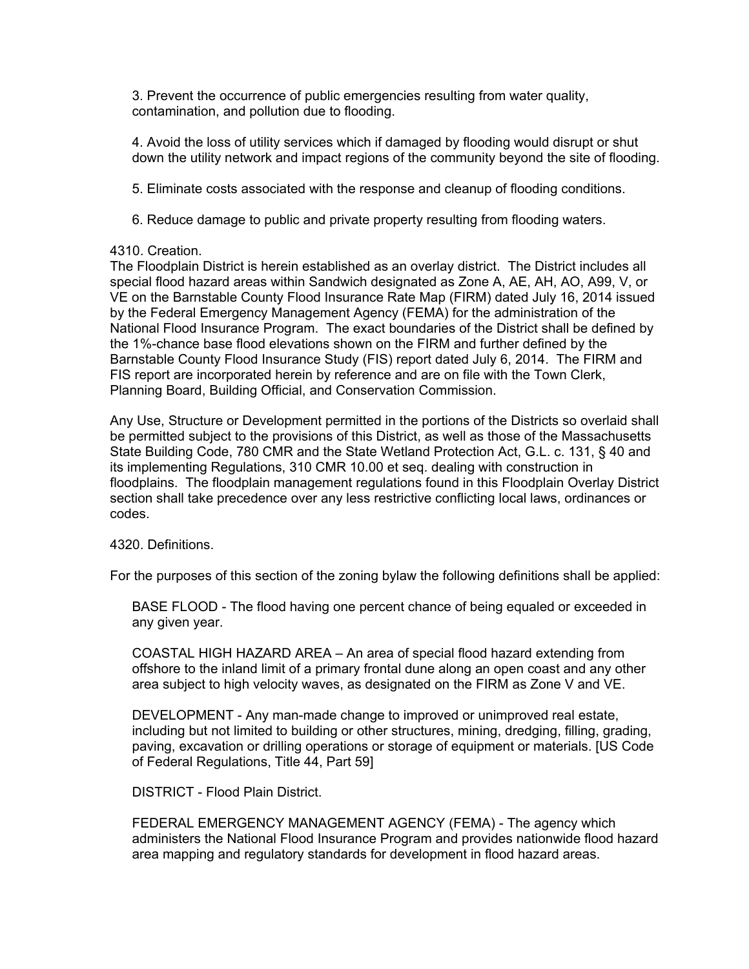3. Prevent the occurrence of public emergencies resulting from water quality, contamination, and pollution due to flooding.

4. Avoid the loss of utility services which if damaged by flooding would disrupt or shut down the utility network and impact regions of the community beyond the site of flooding.

5. Eliminate costs associated with the response and cleanup of flooding conditions.

6. Reduce damage to public and private property resulting from flooding waters.

## 4310. Creation.

The Floodplain District is herein established as an overlay district. The District includes all special flood hazard areas within Sandwich designated as Zone A, AE, AH, AO, A99, V, or VE on the Barnstable County Flood Insurance Rate Map (FIRM) dated July 16, 2014 issued by the Federal Emergency Management Agency (FEMA) for the administration of the National Flood Insurance Program. The exact boundaries of the District shall be defined by the 1%-chance base flood elevations shown on the FIRM and further defined by the Barnstable County Flood Insurance Study (FIS) report dated July 6, 2014. The FIRM and FIS report are incorporated herein by reference and are on file with the Town Clerk, Planning Board, Building Official, and Conservation Commission.

Any Use, Structure or Development permitted in the portions of the Districts so overlaid shall be permitted subject to the provisions of this District, as well as those of the Massachusetts State Building Code, 780 CMR and the State Wetland Protection Act, G.L. c. 131, § 40 and its implementing Regulations, 310 CMR 10.00 et seq. dealing with construction in floodplains. The floodplain management regulations found in this Floodplain Overlay District section shall take precedence over any less restrictive conflicting local laws, ordinances or codes.

#### 4320. Definitions.

For the purposes of this section of the zoning bylaw the following definitions shall be applied:

BASE FLOOD - The flood having one percent chance of being equaled or exceeded in any given year.

COASTAL HIGH HAZARD AREA – An area of special flood hazard extending from offshore to the inland limit of a primary frontal dune along an open coast and any other area subject to high velocity waves, as designated on the FIRM as Zone V and VE.

DEVELOPMENT - Any man-made change to improved or unimproved real estate, including but not limited to building or other structures, mining, dredging, filling, grading, paving, excavation or drilling operations or storage of equipment or materials. [US Code of Federal Regulations, Title 44, Part 59]

DISTRICT - Flood Plain District.

FEDERAL EMERGENCY MANAGEMENT AGENCY (FEMA) - The agency which administers the National Flood Insurance Program and provides nationwide flood hazard area mapping and regulatory standards for development in flood hazard areas.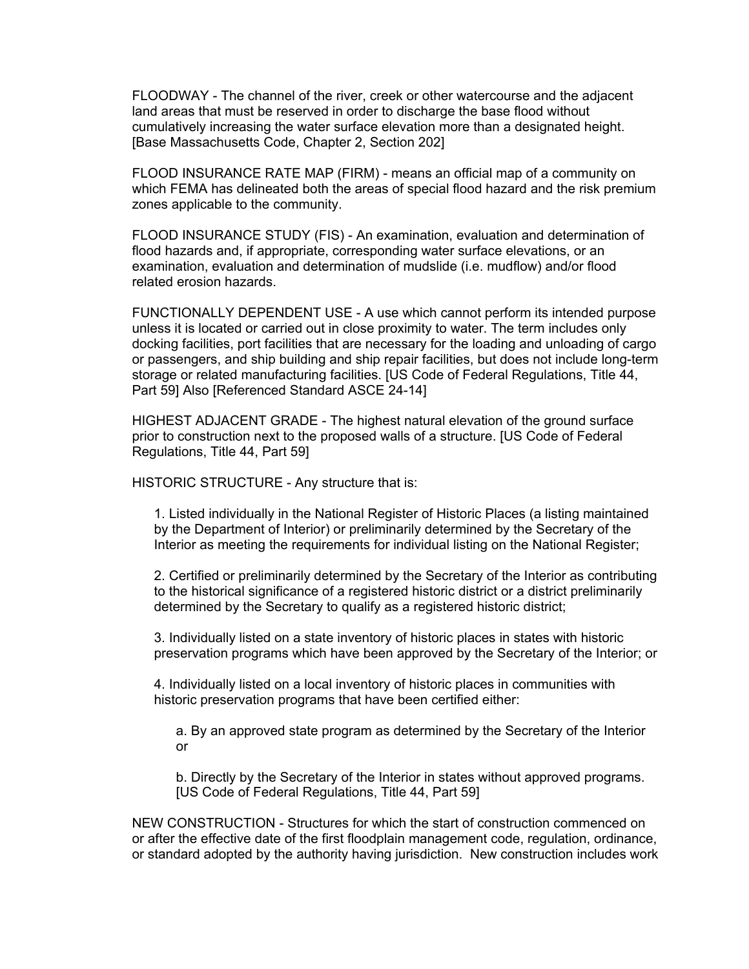FLOODWAY - The channel of the river, creek or other watercourse and the adjacent land areas that must be reserved in order to discharge the base flood without cumulatively increasing the water surface elevation more than a designated height. [Base Massachusetts Code, Chapter 2, Section 202]

FLOOD INSURANCE RATE MAP (FIRM) - means an official map of a community on which FEMA has delineated both the areas of special flood hazard and the risk premium zones applicable to the community.

FLOOD INSURANCE STUDY (FIS) - An examination, evaluation and determination of flood hazards and, if appropriate, corresponding water surface elevations, or an examination, evaluation and determination of mudslide (i.e. mudflow) and/or flood related erosion hazards.

FUNCTIONALLY DEPENDENT USE - A use which cannot perform its intended purpose unless it is located or carried out in close proximity to water. The term includes only docking facilities, port facilities that are necessary for the loading and unloading of cargo or passengers, and ship building and ship repair facilities, but does not include long-term storage or related manufacturing facilities. [US Code of Federal Regulations, Title 44, Part 59] Also [Referenced Standard ASCE 24-14]

HIGHEST ADJACENT GRADE - The highest natural elevation of the ground surface prior to construction next to the proposed walls of a structure. [US Code of Federal Regulations, Title 44, Part 59]

HISTORIC STRUCTURE - Any structure that is:

1. Listed individually in the National Register of Historic Places (a listing maintained by the Department of Interior) or preliminarily determined by the Secretary of the Interior as meeting the requirements for individual listing on the National Register;

2. Certified or preliminarily determined by the Secretary of the Interior as contributing to the historical significance of a registered historic district or a district preliminarily determined by the Secretary to qualify as a registered historic district;

3. Individually listed on a state inventory of historic places in states with historic preservation programs which have been approved by the Secretary of the Interior; or

4. Individually listed on a local inventory of historic places in communities with historic preservation programs that have been certified either:

a. By an approved state program as determined by the Secretary of the Interior or

b. Directly by the Secretary of the Interior in states without approved programs. [US Code of Federal Regulations, Title 44, Part 59]

NEW CONSTRUCTION - Structures for which the start of construction commenced on or after the effective date of the first floodplain management code, regulation, ordinance, or standard adopted by the authority having jurisdiction. New construction includes work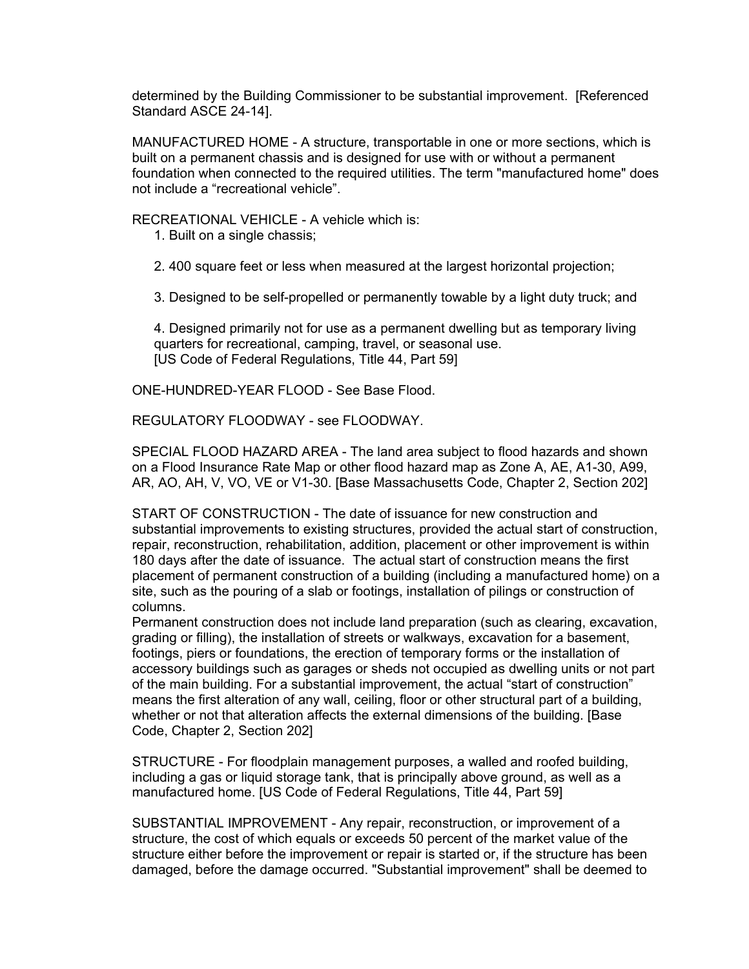determined by the Building Commissioner to be substantial improvement. [Referenced Standard ASCE 24-14].

MANUFACTURED HOME - A structure, transportable in one or more sections, which is built on a permanent chassis and is designed for use with or without a permanent foundation when connected to the required utilities. The term "manufactured home" does not include a "recreational vehicle".

RECREATIONAL VEHICLE - A vehicle which is:

- 1. Built on a single chassis;
- 2. 400 square feet or less when measured at the largest horizontal projection;

3. Designed to be self-propelled or permanently towable by a light duty truck; and

4. Designed primarily not for use as a permanent dwelling but as temporary living quarters for recreational, camping, travel, or seasonal use. [US Code of Federal Regulations, Title 44, Part 59]

ONE-HUNDRED-YEAR FLOOD - See Base Flood.

REGULATORY FLOODWAY - see FLOODWAY.

SPECIAL FLOOD HAZARD AREA - The land area subject to flood hazards and shown on a Flood Insurance Rate Map or other flood hazard map as Zone A, AE, A1-30, A99, AR, AO, AH, V, VO, VE or V1-30. [Base Massachusetts Code, Chapter 2, Section 202]

START OF CONSTRUCTION - The date of issuance for new construction and substantial improvements to existing structures, provided the actual start of construction, repair, reconstruction, rehabilitation, addition, placement or other improvement is within 180 days after the date of issuance. The actual start of construction means the first placement of permanent construction of a building (including a manufactured home) on a site, such as the pouring of a slab or footings, installation of pilings or construction of columns.

Permanent construction does not include land preparation (such as clearing, excavation, grading or filling), the installation of streets or walkways, excavation for a basement, footings, piers or foundations, the erection of temporary forms or the installation of accessory buildings such as garages or sheds not occupied as dwelling units or not part of the main building. For a substantial improvement, the actual "start of construction" means the first alteration of any wall, ceiling, floor or other structural part of a building, whether or not that alteration affects the external dimensions of the building. [Base Code, Chapter 2, Section 202]

STRUCTURE - For floodplain management purposes, a walled and roofed building, including a gas or liquid storage tank, that is principally above ground, as well as a manufactured home. [US Code of Federal Regulations, Title 44, Part 59]

SUBSTANTIAL IMPROVEMENT - Any repair, reconstruction, or improvement of a structure, the cost of which equals or exceeds 50 percent of the market value of the structure either before the improvement or repair is started or, if the structure has been damaged, before the damage occurred. "Substantial improvement" shall be deemed to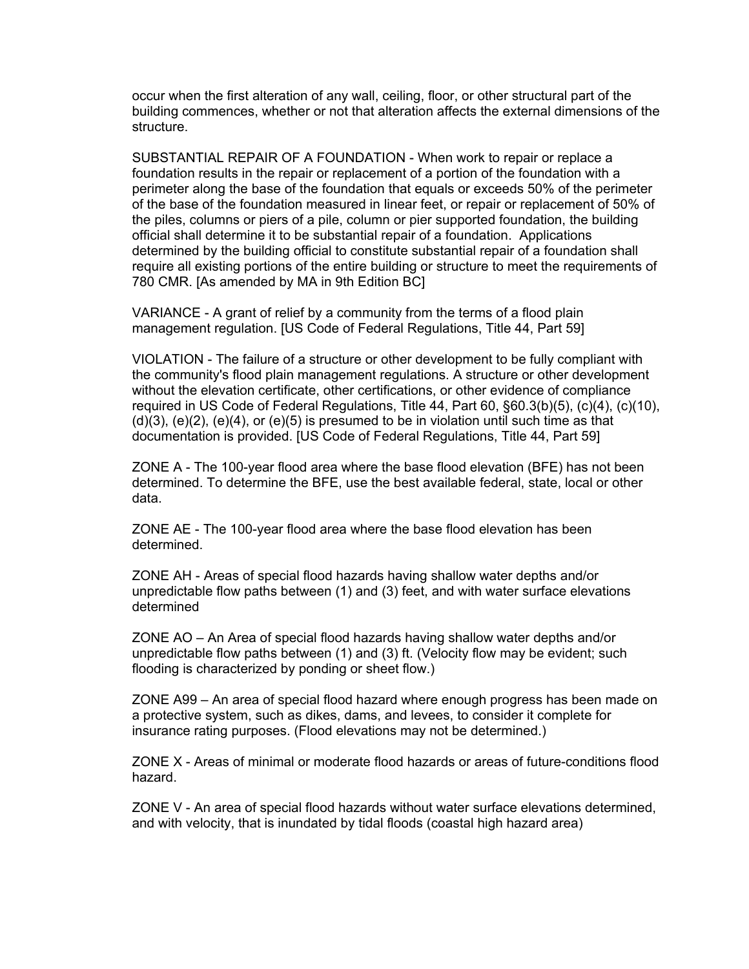occur when the first alteration of any wall, ceiling, floor, or other structural part of the building commences, whether or not that alteration affects the external dimensions of the structure.

SUBSTANTIAL REPAIR OF A FOUNDATION - When work to repair or replace a foundation results in the repair or replacement of a portion of the foundation with a perimeter along the base of the foundation that equals or exceeds 50% of the perimeter of the base of the foundation measured in linear feet, or repair or replacement of 50% of the piles, columns or piers of a pile, column or pier supported foundation, the building official shall determine it to be substantial repair of a foundation. Applications determined by the building official to constitute substantial repair of a foundation shall require all existing portions of the entire building or structure to meet the requirements of 780 CMR. [As amended by MA in 9th Edition BC]

VARIANCE - A grant of relief by a community from the terms of a flood plain management regulation. [US Code of Federal Regulations, Title 44, Part 59]

VIOLATION - The failure of a structure or other development to be fully compliant with the community's flood plain management regulations. A structure or other development without the elevation certificate, other certifications, or other evidence of compliance required in US Code of Federal Regulations, Title 44, Part 60, §60.3(b)(5), (c)(4), (c)(10),  $(d)(3)$ ,  $(e)(2)$ ,  $(e)(4)$ , or  $(e)(5)$  is presumed to be in violation until such time as that documentation is provided. [US Code of Federal Regulations, Title 44, Part 59]

ZONE A - The 100-year flood area where the base flood elevation (BFE) has not been determined. To determine the BFE, use the best available federal, state, local or other data.

ZONE AE - The 100-year flood area where the base flood elevation has been determined.

ZONE AH - Areas of special flood hazards having shallow water depths and/or unpredictable flow paths between (1) and (3) feet, and with water surface elevations determined

ZONE AO – An Area of special flood hazards having shallow water depths and/or unpredictable flow paths between (1) and (3) ft. (Velocity flow may be evident; such flooding is characterized by ponding or sheet flow.)

ZONE A99 – An area of special flood hazard where enough progress has been made on a protective system, such as dikes, dams, and levees, to consider it complete for insurance rating purposes. (Flood elevations may not be determined.)

ZONE X - Areas of minimal or moderate flood hazards or areas of future-conditions flood hazard.

ZONE V - An area of special flood hazards without water surface elevations determined, and with velocity, that is inundated by tidal floods (coastal high hazard area)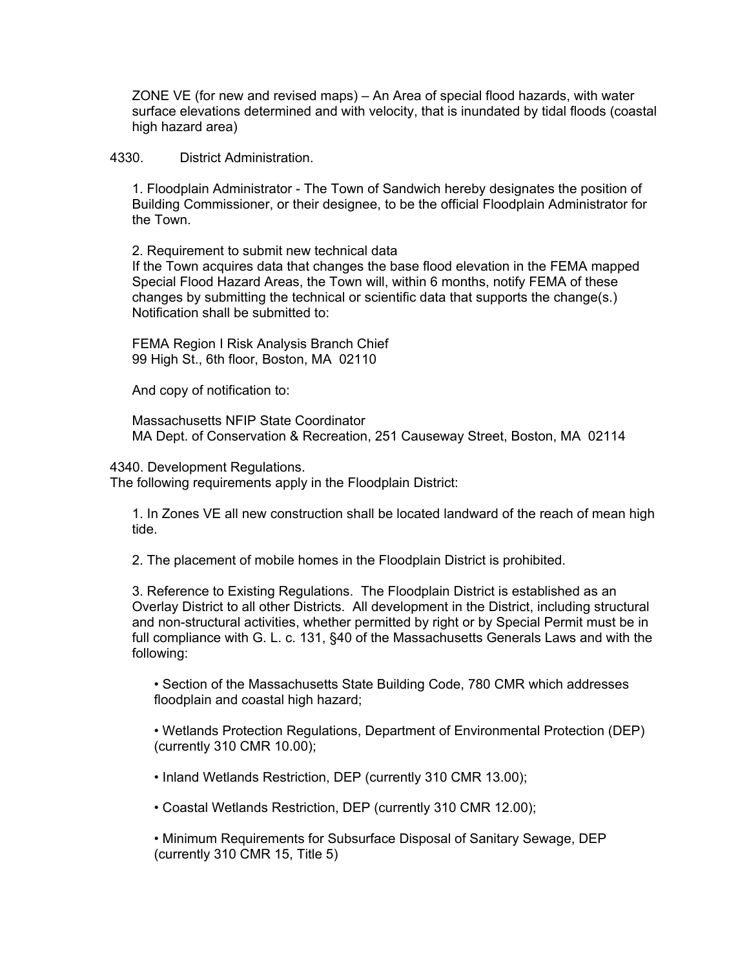ZONE VE (for new and revised maps) – An Area of special flood hazards, with water surface elevations determined and with velocity, that is inundated by tidal floods (coastal high hazard area)

4330. District Administration.

1. Floodplain Administrator - The Town of Sandwich hereby designates the position of Building Commissioner, or their designee, to be the official Floodplain Administrator for the Town.

2. Requirement to submit new technical data If the Town acquires data that changes the base flood elevation in the FEMA mapped Special Flood Hazard Areas, the Town will, within 6 months, notify FEMA of these changes by submitting the technical or scientific data that supports the change(s.) Notification shall be submitted to:

FEMA Region I Risk Analysis Branch Chief 99 High St., 6th floor, Boston, MA 02110

And copy of notification to:

Massachusetts NFIP State Coordinator MA Dept. of Conservation & Recreation, 251 Causeway Street, Boston, MA 02114

4340. Development Regulations.

The following requirements apply in the Floodplain District:

1. In Zones VE all new construction shall be located landward of the reach of mean high tide.

2. The placement of mobile homes in the Floodplain District is prohibited.

3. Reference to Existing Regulations. The Floodplain District is established as an Overlay District to all other Districts. All development in the District, including structural and non-structural activities, whether permitted by right or by Special Permit must be in full compliance with G. L. c. 131, §40 of the Massachusetts Generals Laws and with the following:

• Section of the Massachusetts State Building Code, 780 CMR which addresses floodplain and coastal high hazard;

• Wetlands Protection Regulations, Department of Environmental Protection (DEP) (currently 310 CMR 10.00);

• Inland Wetlands Restriction, DEP (currently 310 CMR 13.00);

• Coastal Wetlands Restriction, DEP (currently 310 CMR 12.00);

• Minimum Requirements for Subsurface Disposal of Sanitary Sewage, DEP (currently 310 CMR 15, Title 5)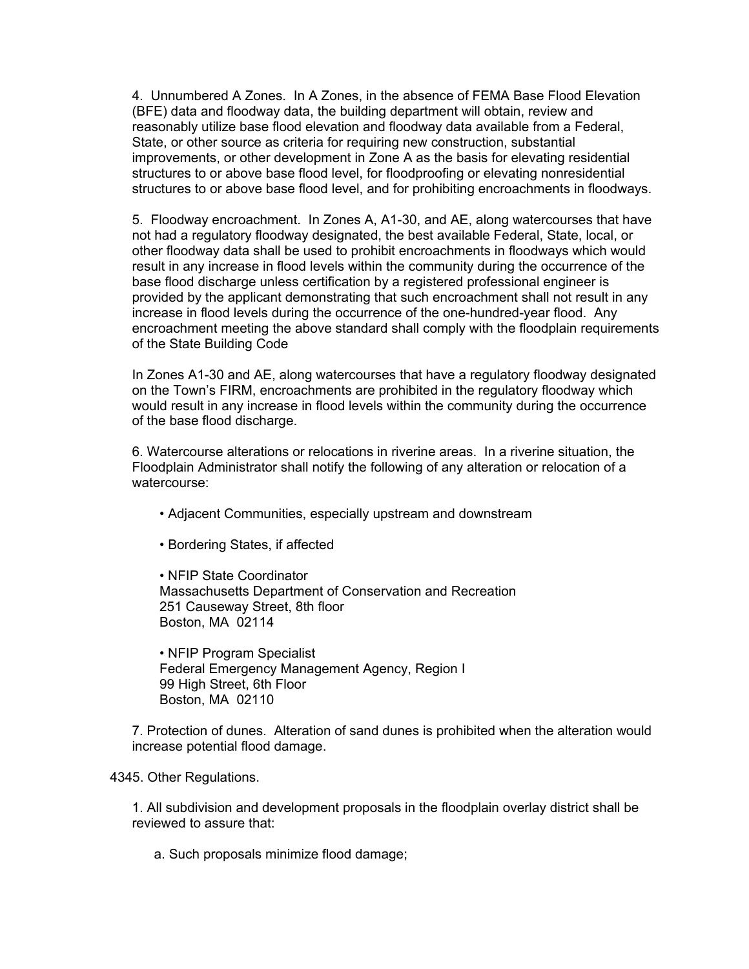4. Unnumbered A Zones. In A Zones, in the absence of FEMA Base Flood Elevation (BFE) data and floodway data, the building department will obtain, review and reasonably utilize base flood elevation and floodway data available from a Federal, State, or other source as criteria for requiring new construction, substantial improvements, or other development in Zone A as the basis for elevating residential structures to or above base flood level, for floodproofing or elevating nonresidential structures to or above base flood level, and for prohibiting encroachments in floodways.

5. Floodway encroachment. In Zones A, A1-30, and AE, along watercourses that have not had a regulatory floodway designated, the best available Federal, State, local, or other floodway data shall be used to prohibit encroachments in floodways which would result in any increase in flood levels within the community during the occurrence of the base flood discharge unless certification by a registered professional engineer is provided by the applicant demonstrating that such encroachment shall not result in any increase in flood levels during the occurrence of the one-hundred-year flood. Any encroachment meeting the above standard shall comply with the floodplain requirements of the State Building Code

In Zones A1-30 and AE, along watercourses that have a regulatory floodway designated on the Town's FIRM, encroachments are prohibited in the regulatory floodway which would result in any increase in flood levels within the community during the occurrence of the base flood discharge.

6. Watercourse alterations or relocations in riverine areas. In a riverine situation, the Floodplain Administrator shall notify the following of any alteration or relocation of a watercourse:

- Adjacent Communities, especially upstream and downstream
- Bordering States, if affected

• NFIP State Coordinator Massachusetts Department of Conservation and Recreation 251 Causeway Street, 8th floor Boston, MA 02114

• NFIP Program Specialist Federal Emergency Management Agency, Region I 99 High Street, 6th Floor Boston, MA 02110

7. Protection of dunes. Alteration of sand dunes is prohibited when the alteration would increase potential flood damage.

4345. Other Regulations.

1. All subdivision and development proposals in the floodplain overlay district shall be reviewed to assure that:

a. Such proposals minimize flood damage;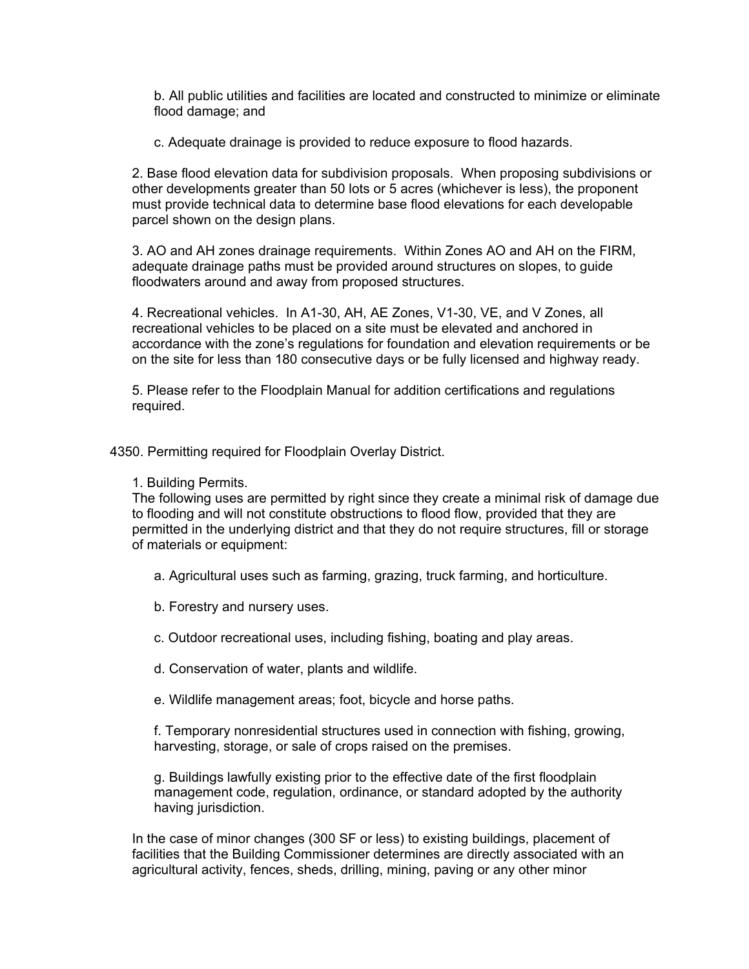b. All public utilities and facilities are located and constructed to minimize or eliminate flood damage; and

c. Adequate drainage is provided to reduce exposure to flood hazards.

2. Base flood elevation data for subdivision proposals. When proposing subdivisions or other developments greater than 50 lots or 5 acres (whichever is less), the proponent must provide technical data to determine base flood elevations for each developable parcel shown on the design plans.

3. AO and AH zones drainage requirements. Within Zones AO and AH on the FIRM, adequate drainage paths must be provided around structures on slopes, to guide floodwaters around and away from proposed structures.

4. Recreational vehicles. In A1-30, AH, AE Zones, V1-30, VE, and V Zones, all recreational vehicles to be placed on a site must be elevated and anchored in accordance with the zone's regulations for foundation and elevation requirements or be on the site for less than 180 consecutive days or be fully licensed and highway ready.

5. Please refer to the Floodplain Manual for addition certifications and regulations required.

4350. Permitting required for Floodplain Overlay District.

1. Building Permits.

The following uses are permitted by right since they create a minimal risk of damage due to flooding and will not constitute obstructions to flood flow, provided that they are permitted in the underlying district and that they do not require structures, fill or storage of materials or equipment:

- a. Agricultural uses such as farming, grazing, truck farming, and horticulture.
- b. Forestry and nursery uses.
- c. Outdoor recreational uses, including fishing, boating and play areas.
- d. Conservation of water, plants and wildlife.
- e. Wildlife management areas; foot, bicycle and horse paths.

f. Temporary nonresidential structures used in connection with fishing, growing, harvesting, storage, or sale of crops raised on the premises.

g. Buildings lawfully existing prior to the effective date of the first floodplain management code, regulation, ordinance, or standard adopted by the authority having jurisdiction.

In the case of minor changes (300 SF or less) to existing buildings, placement of facilities that the Building Commissioner determines are directly associated with an agricultural activity, fences, sheds, drilling, mining, paving or any other minor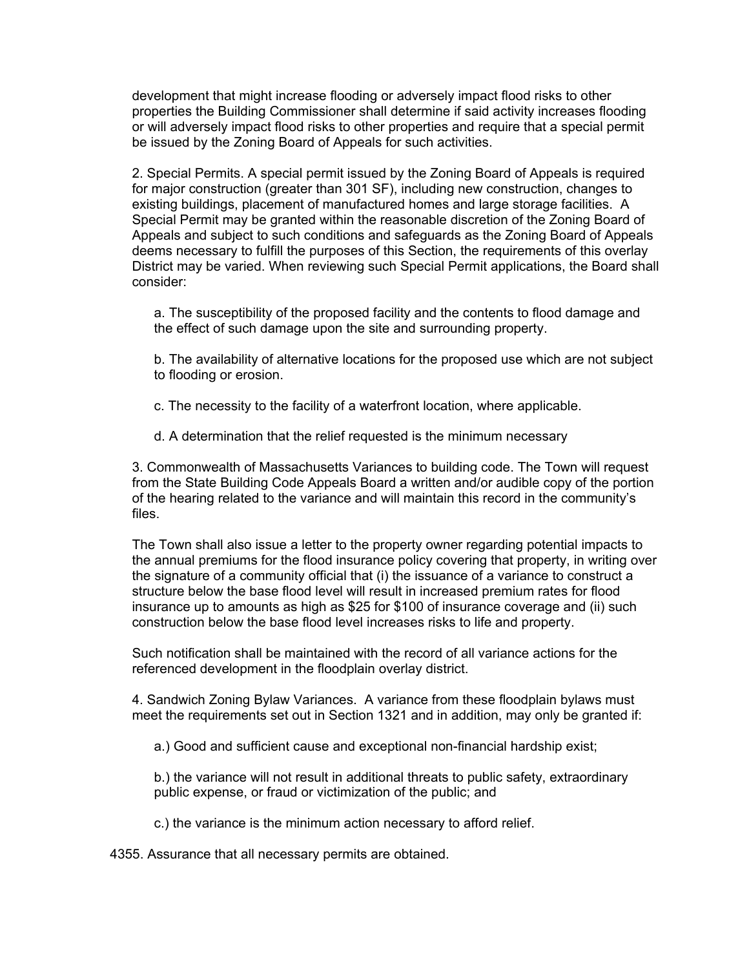development that might increase flooding or adversely impact flood risks to other properties the Building Commissioner shall determine if said activity increases flooding or will adversely impact flood risks to other properties and require that a special permit be issued by the Zoning Board of Appeals for such activities.

2. Special Permits. A special permit issued by the Zoning Board of Appeals is required for major construction (greater than 301 SF), including new construction, changes to existing buildings, placement of manufactured homes and large storage facilities. A Special Permit may be granted within the reasonable discretion of the Zoning Board of Appeals and subject to such conditions and safeguards as the Zoning Board of Appeals deems necessary to fulfill the purposes of this Section, the requirements of this overlay District may be varied. When reviewing such Special Permit applications, the Board shall consider:

a. The susceptibility of the proposed facility and the contents to flood damage and the effect of such damage upon the site and surrounding property.

b. The availability of alternative locations for the proposed use which are not subject to flooding or erosion.

- c. The necessity to the facility of a waterfront location, where applicable.
- d. A determination that the relief requested is the minimum necessary

3. Commonwealth of Massachusetts Variances to building code. The Town will request from the State Building Code Appeals Board a written and/or audible copy of the portion of the hearing related to the variance and will maintain this record in the community's files.

The Town shall also issue a letter to the property owner regarding potential impacts to the annual premiums for the flood insurance policy covering that property, in writing over the signature of a community official that (i) the issuance of a variance to construct a structure below the base flood level will result in increased premium rates for flood insurance up to amounts as high as \$25 for \$100 of insurance coverage and (ii) such construction below the base flood level increases risks to life and property.

Such notification shall be maintained with the record of all variance actions for the referenced development in the floodplain overlay district.

4. Sandwich Zoning Bylaw Variances. A variance from these floodplain bylaws must meet the requirements set out in Section 1321 and in addition, may only be granted if:

a.) Good and sufficient cause and exceptional non-financial hardship exist;

b.) the variance will not result in additional threats to public safety, extraordinary public expense, or fraud or victimization of the public; and

c.) the variance is the minimum action necessary to afford relief.

4355. Assurance that all necessary permits are obtained.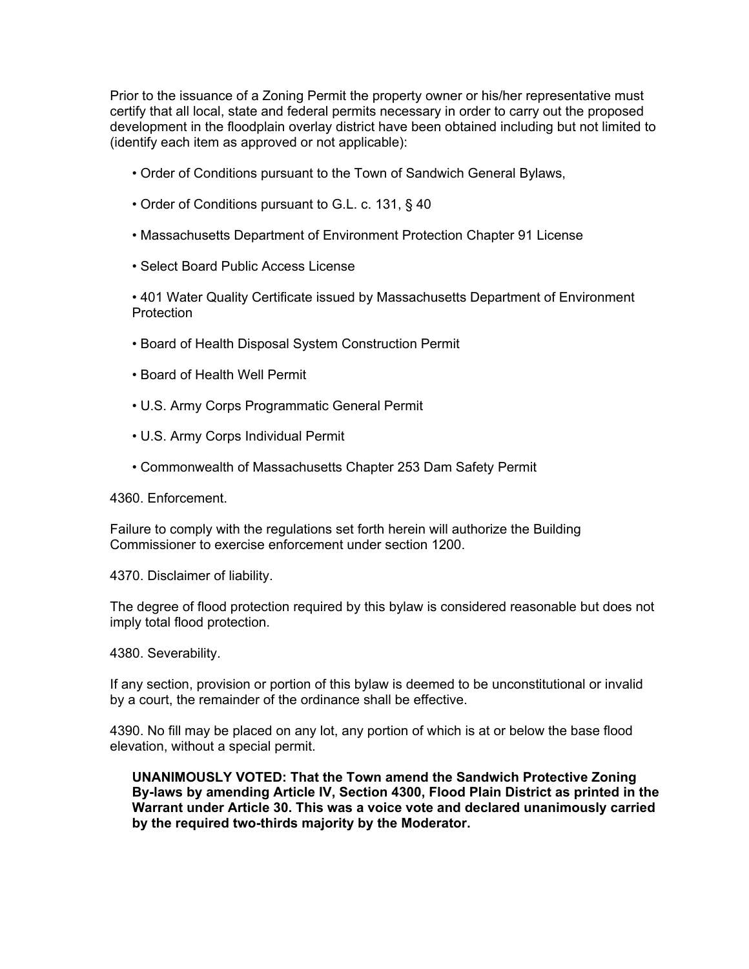Prior to the issuance of a Zoning Permit the property owner or his/her representative must certify that all local, state and federal permits necessary in order to carry out the proposed development in the floodplain overlay district have been obtained including but not limited to (identify each item as approved or not applicable):

- Order of Conditions pursuant to the Town of Sandwich General Bylaws,
- Order of Conditions pursuant to G.L. c. 131, § 40
- Massachusetts Department of Environment Protection Chapter 91 License
- Select Board Public Access License

• 401 Water Quality Certificate issued by Massachusetts Department of Environment **Protection** 

- Board of Health Disposal System Construction Permit
- Board of Health Well Permit
- U.S. Army Corps Programmatic General Permit
- U.S. Army Corps Individual Permit
- Commonwealth of Massachusetts Chapter 253 Dam Safety Permit

4360. Enforcement.

Failure to comply with the regulations set forth herein will authorize the Building Commissioner to exercise enforcement under section 1200.

4370. Disclaimer of liability.

The degree of flood protection required by this bylaw is considered reasonable but does not imply total flood protection.

4380. Severability.

If any section, provision or portion of this bylaw is deemed to be unconstitutional or invalid by a court, the remainder of the ordinance shall be effective.

4390. No fill may be placed on any lot, any portion of which is at or below the base flood elevation, without a special permit.

**UNANIMOUSLY VOTED: That the Town amend the Sandwich Protective Zoning By-laws by amending Article IV, Section 4300, Flood Plain District as printed in the Warrant under Article 30. This was a voice vote and declared unanimously carried by the required two-thirds majority by the Moderator.**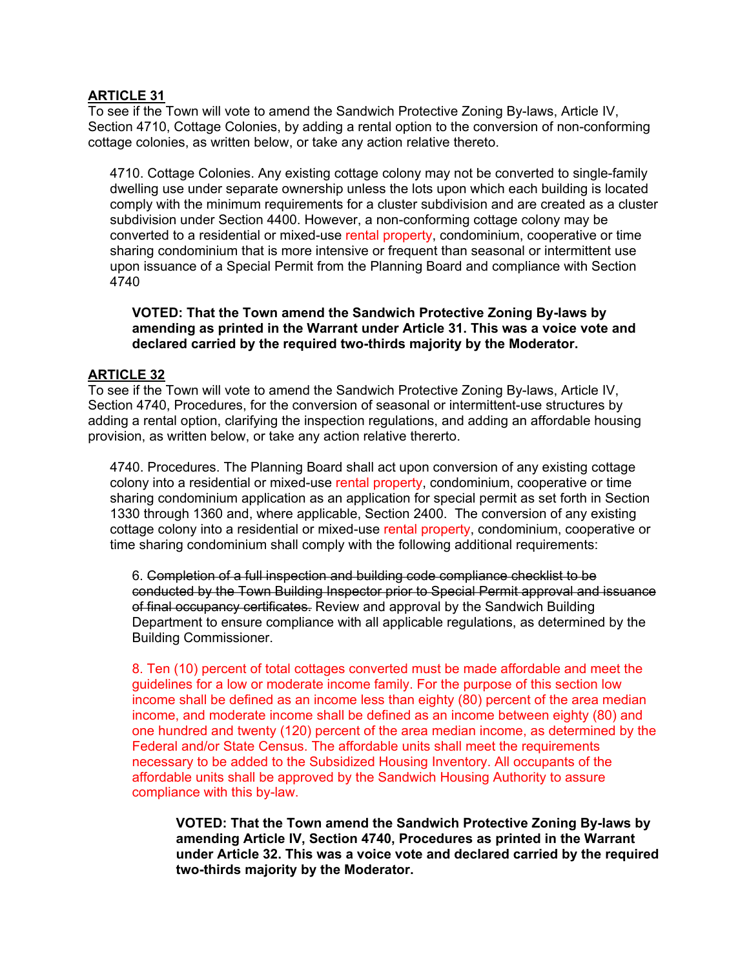# **ARTICLE 31**

To see if the Town will vote to amend the Sandwich Protective Zoning By-laws, Article IV, Section 4710, Cottage Colonies, by adding a rental option to the conversion of non-conforming cottage colonies, as written below, or take any action relative thereto.

4710. Cottage Colonies. Any existing cottage colony may not be converted to single-family dwelling use under separate ownership unless the lots upon which each building is located comply with the minimum requirements for a cluster subdivision and are created as a cluster subdivision under Section 4400. However, a non-conforming cottage colony may be converted to a residential or mixed-use rental property, condominium, cooperative or time sharing condominium that is more intensive or frequent than seasonal or intermittent use upon issuance of a Special Permit from the Planning Board and compliance with Section 4740

#### **VOTED: That the Town amend the Sandwich Protective Zoning By-laws by amending as printed in the Warrant under Article 31. This was a voice vote and declared carried by the required two-thirds majority by the Moderator.**

## **ARTICLE 32**

To see if the Town will vote to amend the Sandwich Protective Zoning By-laws, Article IV, Section 4740, Procedures, for the conversion of seasonal or intermittent-use structures by adding a rental option, clarifying the inspection regulations, and adding an affordable housing provision, as written below, or take any action relative thererto.

4740. Procedures. The Planning Board shall act upon conversion of any existing cottage colony into a residential or mixed-use rental property, condominium, cooperative or time sharing condominium application as an application for special permit as set forth in Section 1330 through 1360 and, where applicable, Section 2400. The conversion of any existing cottage colony into a residential or mixed-use rental property, condominium, cooperative or time sharing condominium shall comply with the following additional requirements:

6. Completion of a full inspection and building code compliance checklist to be conducted by the Town Building Inspector prior to Special Permit approval and issuance of final occupancy certificates. Review and approval by the Sandwich Building Department to ensure compliance with all applicable regulations, as determined by the Building Commissioner.

8. Ten (10) percent of total cottages converted must be made affordable and meet the guidelines for a low or moderate income family. For the purpose of this section low income shall be defined as an income less than eighty (80) percent of the area median income, and moderate income shall be defined as an income between eighty (80) and one hundred and twenty (120) percent of the area median income, as determined by the Federal and/or State Census. The affordable units shall meet the requirements necessary to be added to the Subsidized Housing Inventory. All occupants of the affordable units shall be approved by the Sandwich Housing Authority to assure compliance with this by-law.

**VOTED: That the Town amend the Sandwich Protective Zoning By-laws by amending Article IV, Section 4740, Procedures as printed in the Warrant under Article 32. This was a voice vote and declared carried by the required two-thirds majority by the Moderator.**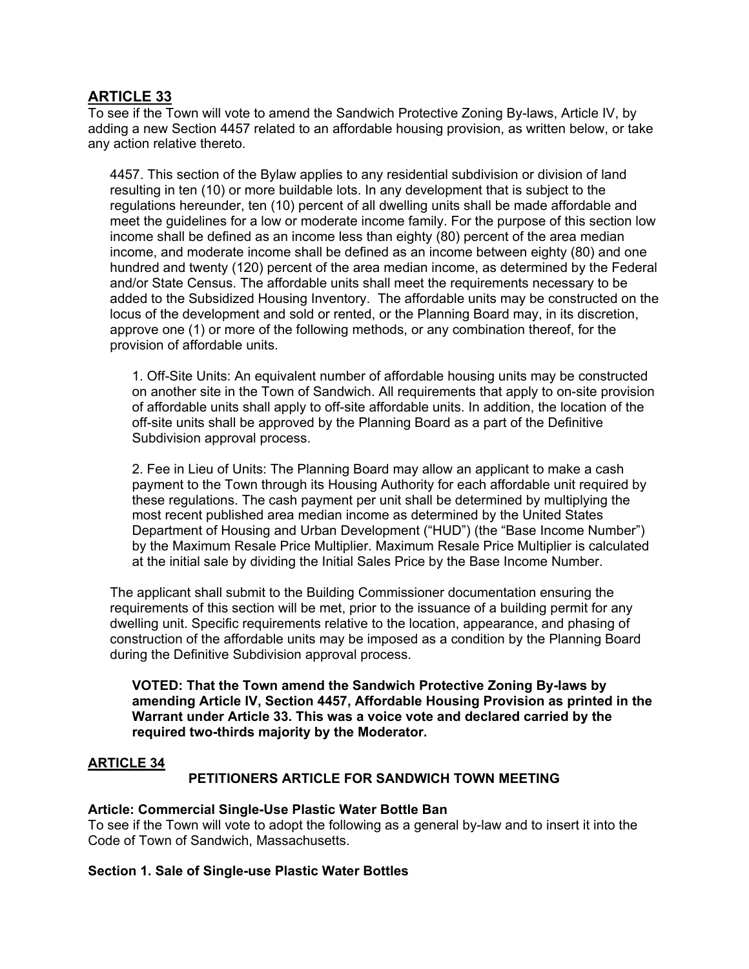# **ARTICLE 33**

To see if the Town will vote to amend the Sandwich Protective Zoning By-laws, Article IV, by adding a new Section 4457 related to an affordable housing provision, as written below, or take any action relative thereto.

4457. This section of the Bylaw applies to any residential subdivision or division of land resulting in ten (10) or more buildable lots. In any development that is subject to the regulations hereunder, ten (10) percent of all dwelling units shall be made affordable and meet the guidelines for a low or moderate income family. For the purpose of this section low income shall be defined as an income less than eighty (80) percent of the area median income, and moderate income shall be defined as an income between eighty (80) and one hundred and twenty (120) percent of the area median income, as determined by the Federal and/or State Census. The affordable units shall meet the requirements necessary to be added to the Subsidized Housing Inventory. The affordable units may be constructed on the locus of the development and sold or rented, or the Planning Board may, in its discretion, approve one (1) or more of the following methods, or any combination thereof, for the provision of affordable units.

1. Off-Site Units: An equivalent number of affordable housing units may be constructed on another site in the Town of Sandwich. All requirements that apply to on-site provision of affordable units shall apply to off-site affordable units. In addition, the location of the off-site units shall be approved by the Planning Board as a part of the Definitive Subdivision approval process.

2. Fee in Lieu of Units: The Planning Board may allow an applicant to make a cash payment to the Town through its Housing Authority for each affordable unit required by these regulations. The cash payment per unit shall be determined by multiplying the most recent published area median income as determined by the United States Department of Housing and Urban Development ("HUD") (the "Base Income Number") by the Maximum Resale Price Multiplier. Maximum Resale Price Multiplier is calculated at the initial sale by dividing the Initial Sales Price by the Base Income Number.

The applicant shall submit to the Building Commissioner documentation ensuring the requirements of this section will be met, prior to the issuance of a building permit for any dwelling unit. Specific requirements relative to the location, appearance, and phasing of construction of the affordable units may be imposed as a condition by the Planning Board during the Definitive Subdivision approval process.

**VOTED: That the Town amend the Sandwich Protective Zoning By-laws by amending Article IV, Section 4457, Affordable Housing Provision as printed in the Warrant under Article 33. This was a voice vote and declared carried by the required two-thirds majority by the Moderator.** 

# **ARTICLE 34**

# **PETITIONERS ARTICLE FOR SANDWICH TOWN MEETING**

#### **Article: Commercial Single-Use Plastic Water Bottle Ban**

To see if the Town will vote to adopt the following as a general by-law and to insert it into the Code of Town of Sandwich, Massachusetts.

# **Section 1. Sale of Single-use Plastic Water Bottles**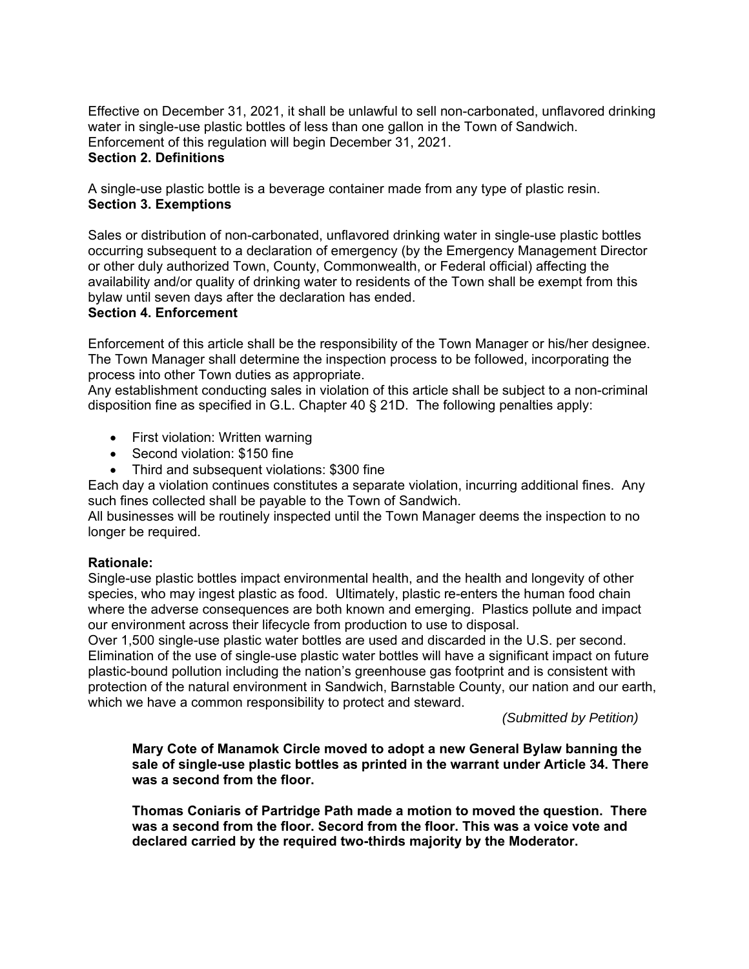Effective on December 31, 2021, it shall be unlawful to sell non-carbonated, unflavored drinking water in single-use plastic bottles of less than one gallon in the Town of Sandwich. Enforcement of this regulation will begin December 31, 2021.

# **Section 2. Definitions**

A single-use plastic bottle is a beverage container made from any type of plastic resin. **Section 3. Exemptions** 

Sales or distribution of non-carbonated, unflavored drinking water in single-use plastic bottles occurring subsequent to a declaration of emergency (by the Emergency Management Director or other duly authorized Town, County, Commonwealth, or Federal official) affecting the availability and/or quality of drinking water to residents of the Town shall be exempt from this bylaw until seven days after the declaration has ended.

## **Section 4. Enforcement**

Enforcement of this article shall be the responsibility of the Town Manager or his/her designee. The Town Manager shall determine the inspection process to be followed, incorporating the process into other Town duties as appropriate.

Any establishment conducting sales in violation of this article shall be subject to a non-criminal disposition fine as specified in G.L. Chapter 40 § 21D. The following penalties apply:

- First violation: Written warning
- Second violation: \$150 fine
- Third and subsequent violations: \$300 fine

Each day a violation continues constitutes a separate violation, incurring additional fines. Any such fines collected shall be payable to the Town of Sandwich.

All businesses will be routinely inspected until the Town Manager deems the inspection to no longer be required.

#### **Rationale:**

Single-use plastic bottles impact environmental health, and the health and longevity of other species, who may ingest plastic as food. Ultimately, plastic re-enters the human food chain where the adverse consequences are both known and emerging. Plastics pollute and impact our environment across their lifecycle from production to use to disposal.

Over 1,500 single-use plastic water bottles are used and discarded in the U.S. per second. Elimination of the use of single-use plastic water bottles will have a significant impact on future plastic-bound pollution including the nation's greenhouse gas footprint and is consistent with protection of the natural environment in Sandwich, Barnstable County, our nation and our earth, which we have a common responsibility to protect and steward.

*(Submitted by Petition)* 

**Mary Cote of Manamok Circle moved to adopt a new General Bylaw banning the sale of single-use plastic bottles as printed in the warrant under Article 34. There was a second from the floor.** 

**Thomas Coniaris of Partridge Path made a motion to moved the question. There was a second from the floor. Secord from the floor. This was a voice vote and declared carried by the required two-thirds majority by the Moderator.**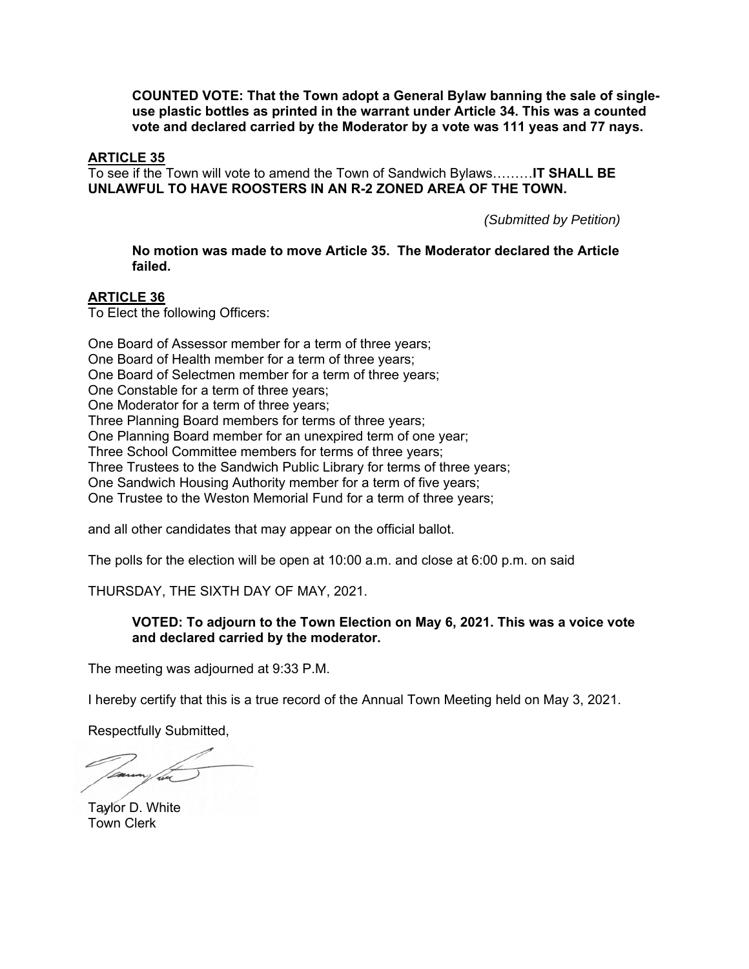**COUNTED VOTE: That the Town adopt a General Bylaw banning the sale of singleuse plastic bottles as printed in the warrant under Article 34. This was a counted vote and declared carried by the Moderator by a vote was 111 yeas and 77 nays.** 

### **ARTICLE 35**

To see if the Town will vote to amend the Town of Sandwich Bylaws………**IT SHALL BE UNLAWFUL TO HAVE ROOSTERS IN AN R-2 ZONED AREA OF THE TOWN.**

*(Submitted by Petition)* 

**No motion was made to move Article 35. The Moderator declared the Article failed.** 

#### **ARTICLE 36**

To Elect the following Officers:

One Board of Assessor member for a term of three years; One Board of Health member for a term of three years; One Board of Selectmen member for a term of three years; One Constable for a term of three years; One Moderator for a term of three years; Three Planning Board members for terms of three years; One Planning Board member for an unexpired term of one year; Three School Committee members for terms of three years; Three Trustees to the Sandwich Public Library for terms of three years; One Sandwich Housing Authority member for a term of five years; One Trustee to the Weston Memorial Fund for a term of three years;

and all other candidates that may appear on the official ballot.

The polls for the election will be open at 10:00 a.m. and close at 6:00 p.m. on said

THURSDAY, THE SIXTH DAY OF MAY, 2021.

#### **VOTED: To adjourn to the Town Election on May 6, 2021. This was a voice vote and declared carried by the moderator.**

The meeting was adjourned at 9:33 P.M.

I hereby certify that this is a true record of the Annual Town Meeting held on May 3, 2021.

Respectfully Submitted,

Taylor D. White Town Clerk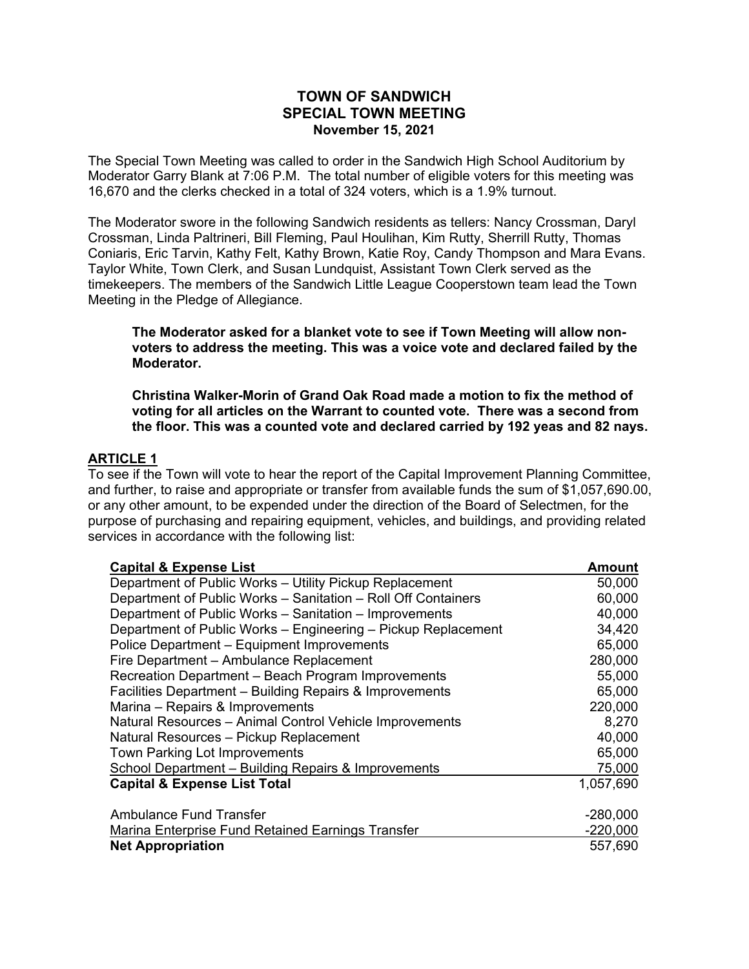# **TOWN OF SANDWICH SPECIAL TOWN MEETING November 15, 2021**

The Special Town Meeting was called to order in the Sandwich High School Auditorium by Moderator Garry Blank at 7:06 P.M. The total number of eligible voters for this meeting was 16,670 and the clerks checked in a total of 324 voters, which is a 1.9% turnout.

The Moderator swore in the following Sandwich residents as tellers: Nancy Crossman, Daryl Crossman, Linda Paltrineri, Bill Fleming, Paul Houlihan, Kim Rutty, Sherrill Rutty, Thomas Coniaris, Eric Tarvin, Kathy Felt, Kathy Brown, Katie Roy, Candy Thompson and Mara Evans. Taylor White, Town Clerk, and Susan Lundquist, Assistant Town Clerk served as the timekeepers. The members of the Sandwich Little League Cooperstown team lead the Town Meeting in the Pledge of Allegiance.

**The Moderator asked for a blanket vote to see if Town Meeting will allow nonvoters to address the meeting. This was a voice vote and declared failed by the Moderator.** 

**Christina Walker-Morin of Grand Oak Road made a motion to fix the method of voting for all articles on the Warrant to counted vote. There was a second from the floor. This was a counted vote and declared carried by 192 yeas and 82 nays.** 

# **ARTICLE 1**

To see if the Town will vote to hear the report of the Capital Improvement Planning Committee, and further, to raise and appropriate or transfer from available funds the sum of \$1,057,690.00, or any other amount, to be expended under the direction of the Board of Selectmen, for the purpose of purchasing and repairing equipment, vehicles, and buildings, and providing related services in accordance with the following list:

| <b>Capital &amp; Expense List</b>                             | <b>Amount</b> |
|---------------------------------------------------------------|---------------|
| Department of Public Works - Utility Pickup Replacement       | 50,000        |
| Department of Public Works - Sanitation - Roll Off Containers | 60,000        |
| Department of Public Works - Sanitation - Improvements        | 40,000        |
| Department of Public Works - Engineering - Pickup Replacement | 34,420        |
| Police Department - Equipment Improvements                    | 65,000        |
| Fire Department - Ambulance Replacement                       | 280,000       |
| Recreation Department - Beach Program Improvements            | 55,000        |
| Facilities Department - Building Repairs & Improvements       | 65,000        |
| Marina – Repairs & Improvements                               | 220,000       |
| Natural Resources - Animal Control Vehicle Improvements       | 8,270         |
| Natural Resources - Pickup Replacement                        | 40,000        |
| Town Parking Lot Improvements                                 | 65,000        |
| School Department - Building Repairs & Improvements           | 75,000        |
| <b>Capital &amp; Expense List Total</b>                       | 1,057,690     |
|                                                               |               |
| <b>Ambulance Fund Transfer</b>                                | $-280,000$    |
| Marina Enterprise Fund Retained Earnings Transfer             | $-220,000$    |
| <b>Net Appropriation</b>                                      | 557,690       |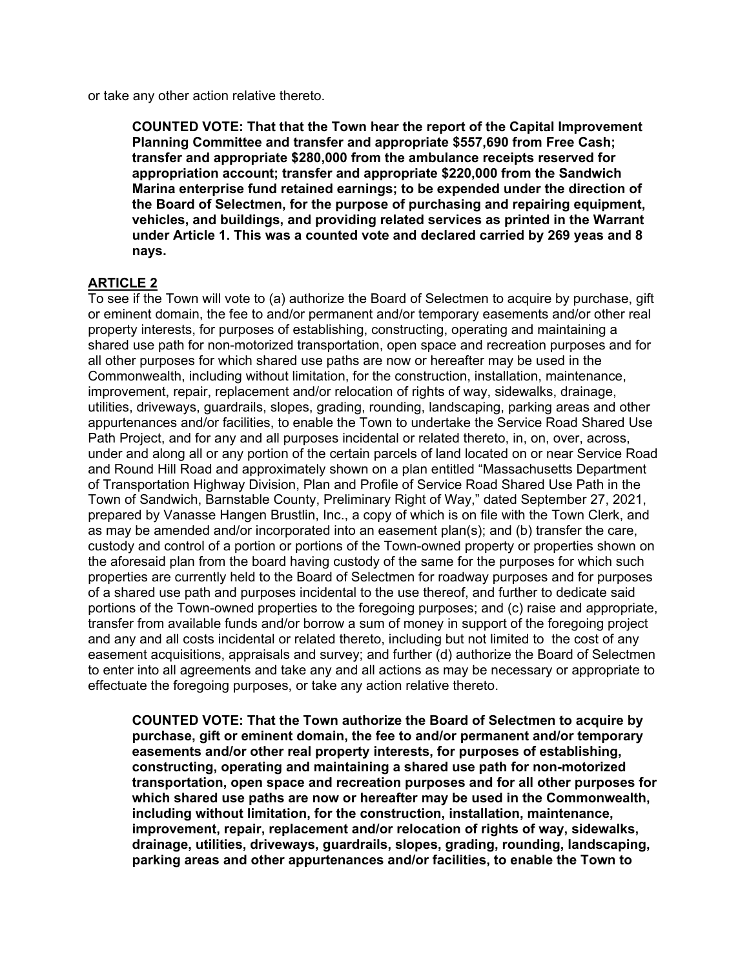or take any other action relative thereto.

**COUNTED VOTE: That that the Town hear the report of the Capital Improvement Planning Committee and transfer and appropriate \$557,690 from Free Cash; transfer and appropriate \$280,000 from the ambulance receipts reserved for appropriation account; transfer and appropriate \$220,000 from the Sandwich Marina enterprise fund retained earnings; to be expended under the direction of the Board of Selectmen, for the purpose of purchasing and repairing equipment, vehicles, and buildings, and providing related services as printed in the Warrant under Article 1. This was a counted vote and declared carried by 269 yeas and 8 nays.** 

## **ARTICLE 2**

To see if the Town will vote to (a) authorize the Board of Selectmen to acquire by purchase, gift or eminent domain, the fee to and/or permanent and/or temporary easements and/or other real property interests, for purposes of establishing, constructing, operating and maintaining a shared use path for non-motorized transportation, open space and recreation purposes and for all other purposes for which shared use paths are now or hereafter may be used in the Commonwealth, including without limitation, for the construction, installation, maintenance, improvement, repair, replacement and/or relocation of rights of way, sidewalks, drainage, utilities, driveways, guardrails, slopes, grading, rounding, landscaping, parking areas and other appurtenances and/or facilities, to enable the Town to undertake the Service Road Shared Use Path Project, and for any and all purposes incidental or related thereto, in, on, over, across, under and along all or any portion of the certain parcels of land located on or near Service Road and Round Hill Road and approximately shown on a plan entitled "Massachusetts Department of Transportation Highway Division, Plan and Profile of Service Road Shared Use Path in the Town of Sandwich, Barnstable County, Preliminary Right of Way," dated September 27, 2021, prepared by Vanasse Hangen Brustlin, Inc., a copy of which is on file with the Town Clerk, and as may be amended and/or incorporated into an easement plan(s); and (b) transfer the care, custody and control of a portion or portions of the Town-owned property or properties shown on the aforesaid plan from the board having custody of the same for the purposes for which such properties are currently held to the Board of Selectmen for roadway purposes and for purposes of a shared use path and purposes incidental to the use thereof, and further to dedicate said portions of the Town-owned properties to the foregoing purposes; and (c) raise and appropriate, transfer from available funds and/or borrow a sum of money in support of the foregoing project and any and all costs incidental or related thereto, including but not limited to the cost of any easement acquisitions, appraisals and survey; and further (d) authorize the Board of Selectmen to enter into all agreements and take any and all actions as may be necessary or appropriate to effectuate the foregoing purposes, or take any action relative thereto.

**COUNTED VOTE: That the Town authorize the Board of Selectmen to acquire by purchase, gift or eminent domain, the fee to and/or permanent and/or temporary easements and/or other real property interests, for purposes of establishing, constructing, operating and maintaining a shared use path for non-motorized transportation, open space and recreation purposes and for all other purposes for which shared use paths are now or hereafter may be used in the Commonwealth, including without limitation, for the construction, installation, maintenance, improvement, repair, replacement and/or relocation of rights of way, sidewalks, drainage, utilities, driveways, guardrails, slopes, grading, rounding, landscaping, parking areas and other appurtenances and/or facilities, to enable the Town to**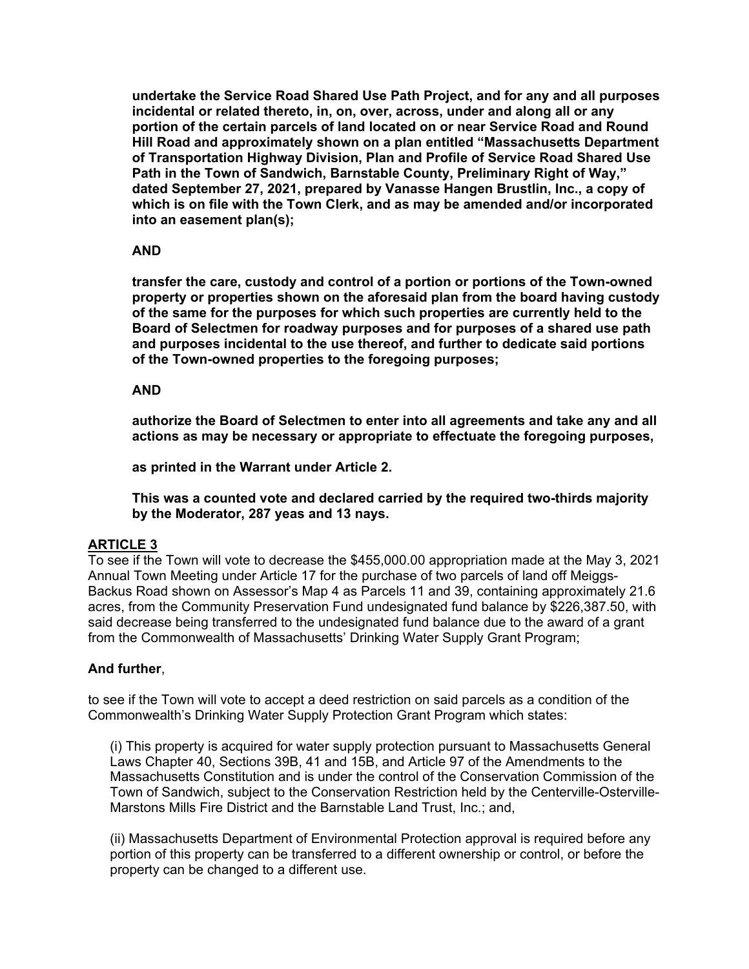**undertake the Service Road Shared Use Path Project, and for any and all purposes incidental or related thereto, in, on, over, across, under and along all or any portion of the certain parcels of land located on or near Service Road and Round Hill Road and approximately shown on a plan entitled "Massachusetts Department of Transportation Highway Division, Plan and Profile of Service Road Shared Use Path in the Town of Sandwich, Barnstable County, Preliminary Right of Way," dated September 27, 2021, prepared by Vanasse Hangen Brustlin, Inc., a copy of which is on file with the Town Clerk, and as may be amended and/or incorporated into an easement plan(s);** 

## **AND**

**transfer the care, custody and control of a portion or portions of the Town-owned property or properties shown on the aforesaid plan from the board having custody of the same for the purposes for which such properties are currently held to the Board of Selectmen for roadway purposes and for purposes of a shared use path and purposes incidental to the use thereof, and further to dedicate said portions of the Town-owned properties to the foregoing purposes;** 

#### **AND**

**authorize the Board of Selectmen to enter into all agreements and take any and all actions as may be necessary or appropriate to effectuate the foregoing purposes,** 

**as printed in the Warrant under Article 2.** 

**This was a counted vote and declared carried by the required two-thirds majority by the Moderator, 287 yeas and 13 nays.** 

# **ARTICLE 3**

To see if the Town will vote to decrease the \$455,000.00 appropriation made at the May 3, 2021 Annual Town Meeting under Article 17 for the purchase of two parcels of land off Meiggs-Backus Road shown on Assessor's Map 4 as Parcels 11 and 39, containing approximately 21.6 acres, from the Community Preservation Fund undesignated fund balance by \$226,387.50, with said decrease being transferred to the undesignated fund balance due to the award of a grant from the Commonwealth of Massachusetts' Drinking Water Supply Grant Program;

# **And further**,

to see if the Town will vote to accept a deed restriction on said parcels as a condition of the Commonwealth's Drinking Water Supply Protection Grant Program which states:

(i) This property is acquired for water supply protection pursuant to Massachusetts General Laws Chapter 40, Sections 39B, 41 and 15B, and Article 97 of the Amendments to the Massachusetts Constitution and is under the control of the Conservation Commission of the Town of Sandwich, subject to the Conservation Restriction held by the Centerville-Osterville-Marstons Mills Fire District and the Barnstable Land Trust, Inc.; and,

(ii) Massachusetts Department of Environmental Protection approval is required before any portion of this property can be transferred to a different ownership or control, or before the property can be changed to a different use.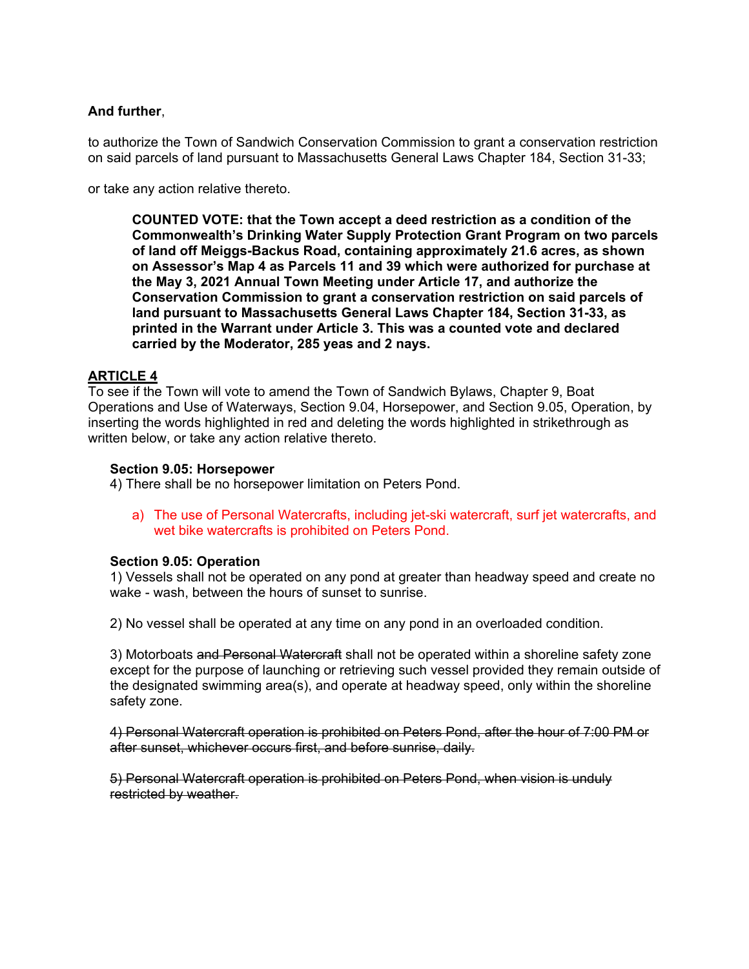# **And further**,

to authorize the Town of Sandwich Conservation Commission to grant a conservation restriction on said parcels of land pursuant to Massachusetts General Laws Chapter 184, Section 31-33;

or take any action relative thereto.

**COUNTED VOTE: that the Town accept a deed restriction as a condition of the Commonwealth's Drinking Water Supply Protection Grant Program on two parcels of land off Meiggs-Backus Road, containing approximately 21.6 acres, as shown on Assessor's Map 4 as Parcels 11 and 39 which were authorized for purchase at the May 3, 2021 Annual Town Meeting under Article 17, and authorize the Conservation Commission to grant a conservation restriction on said parcels of land pursuant to Massachusetts General Laws Chapter 184, Section 31-33, as printed in the Warrant under Article 3. This was a counted vote and declared carried by the Moderator, 285 yeas and 2 nays.** 

# **ARTICLE 4**

To see if the Town will vote to amend the Town of Sandwich Bylaws, Chapter 9, Boat Operations and Use of Waterways, Section 9.04, Horsepower, and Section 9.05, Operation, by inserting the words highlighted in red and deleting the words highlighted in strikethrough as written below, or take any action relative thereto.

#### **Section 9.05: Horsepower**

4) There shall be no horsepower limitation on Peters Pond.

a) The use of Personal Watercrafts, including jet-ski watercraft, surf jet watercrafts, and wet bike watercrafts is prohibited on Peters Pond.

#### **Section 9.05: Operation**

1) Vessels shall not be operated on any pond at greater than headway speed and create no wake - wash, between the hours of sunset to sunrise.

2) No vessel shall be operated at any time on any pond in an overloaded condition.

3) Motorboats and Personal Watercraft shall not be operated within a shoreline safety zone except for the purpose of launching or retrieving such vessel provided they remain outside of the designated swimming area(s), and operate at headway speed, only within the shoreline safety zone.

4) Personal Watercraft operation is prohibited on Peters Pond, after the hour of 7:00 PM or after sunset, whichever occurs first, and before sunrise, daily.

5) Personal Watercraft operation is prohibited on Peters Pond, when vision is unduly restricted by weather.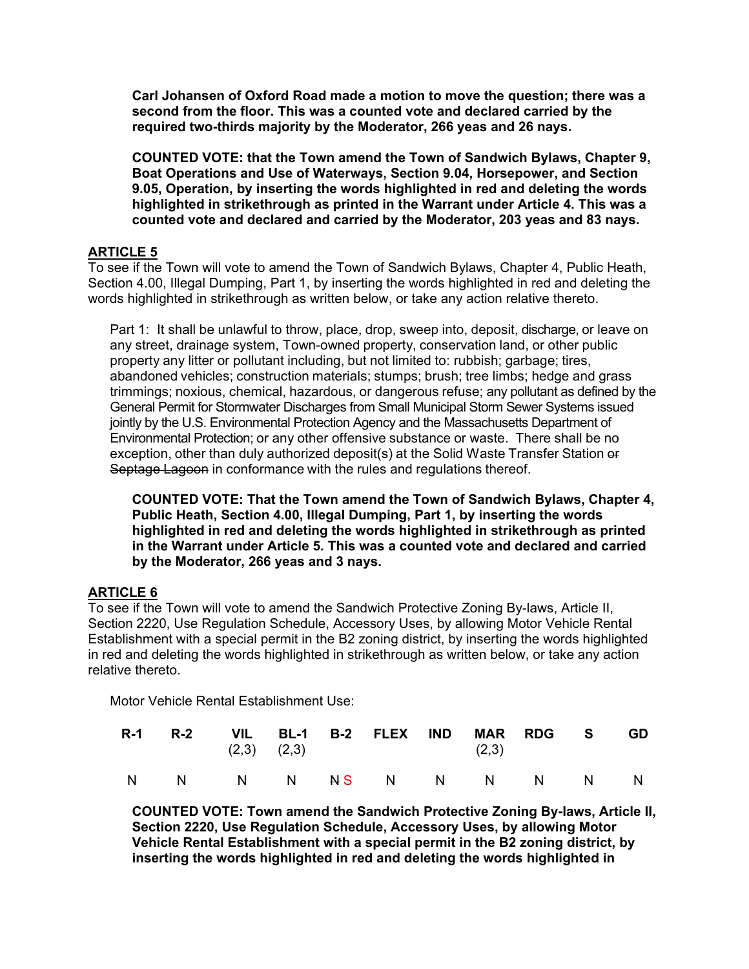**Carl Johansen of Oxford Road made a motion to move the question; there was a second from the floor. This was a counted vote and declared carried by the required two-thirds majority by the Moderator, 266 yeas and 26 nays.** 

**COUNTED VOTE: that the Town amend the Town of Sandwich Bylaws, Chapter 9, Boat Operations and Use of Waterways, Section 9.04, Horsepower, and Section 9.05, Operation, by inserting the words highlighted in red and deleting the words highlighted in strikethrough as printed in the Warrant under Article 4. This was a counted vote and declared and carried by the Moderator, 203 yeas and 83 nays.** 

# **ARTICLE 5**

To see if the Town will vote to amend the Town of Sandwich Bylaws, Chapter 4, Public Heath, Section 4.00, Illegal Dumping, Part 1, by inserting the words highlighted in red and deleting the words highlighted in strikethrough as written below, or take any action relative thereto.

Part 1: It shall be unlawful to throw, place, drop, sweep into, deposit, discharge, or leave on any street, drainage system, Town-owned property, conservation land, or other public property any litter or pollutant including, but not limited to: rubbish; garbage; tires, abandoned vehicles; construction materials; stumps; brush; tree limbs; hedge and grass trimmings; noxious, chemical, hazardous, or dangerous refuse; any pollutant as defined by the General Permit for Stormwater Discharges from Small Municipal Storm Sewer Systems issued jointly by the U.S. Environmental Protection Agency and the Massachusetts Department of Environmental Protection; or any other offensive substance or waste. There shall be no exception, other than duly authorized deposit(s) at the Solid Waste Transfer Station or Septage Lagoon in conformance with the rules and regulations thereof.

**COUNTED VOTE: That the Town amend the Town of Sandwich Bylaws, Chapter 4, Public Heath, Section 4.00, Illegal Dumping, Part 1, by inserting the words highlighted in red and deleting the words highlighted in strikethrough as printed in the Warrant under Article 5. This was a counted vote and declared and carried by the Moderator, 266 yeas and 3 nays.** 

# **ARTICLE 6**

To see if the Town will vote to amend the Sandwich Protective Zoning By-laws, Article II, Section 2220, Use Regulation Schedule, Accessory Uses, by allowing Motor Vehicle Rental Establishment with a special permit in the B2 zoning district, by inserting the words highlighted in red and deleting the words highlighted in strikethrough as written below, or take any action relative thereto.

Motor Vehicle Rental Establishment Use:

|  |  | R-1 R-2 VIL BL-1 B-2 FLEX IND MAR RDG S<br>$(2,3)$ $(2,3)$ | (2,3) |  | <b>GD</b> |
|--|--|------------------------------------------------------------|-------|--|-----------|
|  |  | N N N N <del>N</del> S N N N N N N                         |       |  |           |

**COUNTED VOTE: Town amend the Sandwich Protective Zoning By-laws, Article II, Section 2220, Use Regulation Schedule, Accessory Uses, by allowing Motor Vehicle Rental Establishment with a special permit in the B2 zoning district, by inserting the words highlighted in red and deleting the words highlighted in**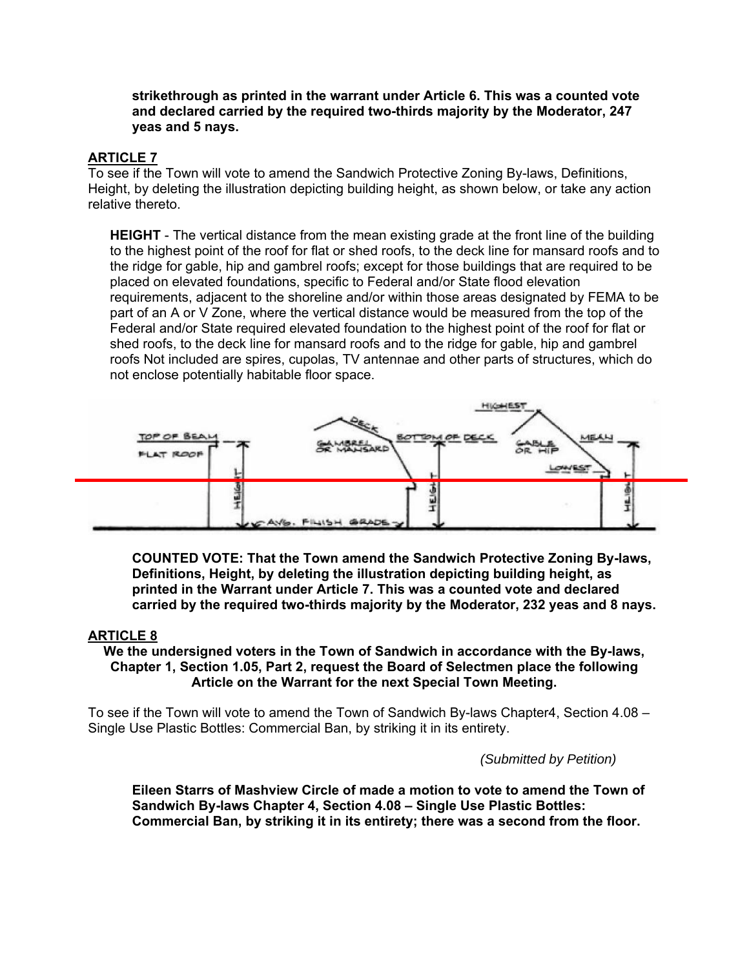#### **strikethrough as printed in the warrant under Article 6. This was a counted vote and declared carried by the required two-thirds majority by the Moderator, 247 yeas and 5 nays.**

# **ARTICLE 7**

To see if the Town will vote to amend the Sandwich Protective Zoning By-laws, Definitions, Height, by deleting the illustration depicting building height, as shown below, or take any action relative thereto.

**HEIGHT** - The vertical distance from the mean existing grade at the front line of the building to the highest point of the roof for flat or shed roofs, to the deck line for mansard roofs and to the ridge for gable, hip and gambrel roofs; except for those buildings that are required to be placed on elevated foundations, specific to Federal and/or State flood elevation requirements, adjacent to the shoreline and/or within those areas designated by FEMA to be part of an A or V Zone, where the vertical distance would be measured from the top of the Federal and/or State required elevated foundation to the highest point of the roof for flat or shed roofs, to the deck line for mansard roofs and to the ridge for gable, hip and gambrel roofs Not included are spires, cupolas, TV antennae and other parts of structures, which do not enclose potentially habitable floor space.



**COUNTED VOTE: That the Town amend the Sandwich Protective Zoning By-laws, Definitions, Height, by deleting the illustration depicting building height, as printed in the Warrant under Article 7. This was a counted vote and declared carried by the required two-thirds majority by the Moderator, 232 yeas and 8 nays.** 

# **ARTICLE 8**

**We the undersigned voters in the Town of Sandwich in accordance with the By-laws, Chapter 1, Section 1.05, Part 2, request the Board of Selectmen place the following Article on the Warrant for the next Special Town Meeting.** 

To see if the Town will vote to amend the Town of Sandwich By-laws Chapter4, Section 4.08 – Single Use Plastic Bottles: Commercial Ban, by striking it in its entirety.

*(Submitted by Petition)* 

**Eileen Starrs of Mashview Circle of made a motion to vote to amend the Town of Sandwich By-laws Chapter 4, Section 4.08 – Single Use Plastic Bottles: Commercial Ban, by striking it in its entirety; there was a second from the floor.**